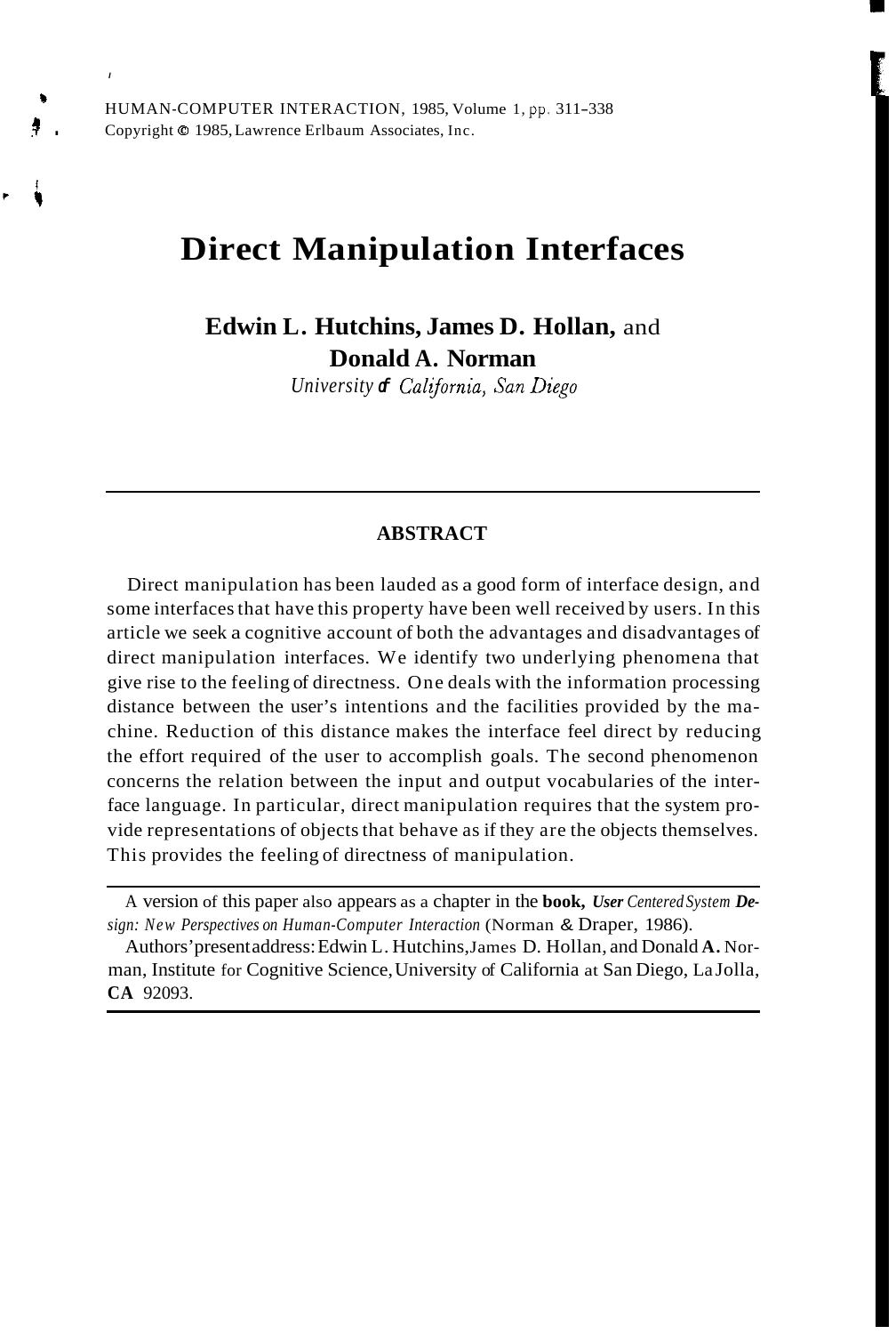# **Direct Manipulation Interfaces**

**Edwin L. Hutchins, James D. Hollan,** and **Donald A. Norman** 

*University of California, San Diego* 

# **ABSTRACT**

Direct manipulation has been lauded as a good form of interface design, and some interfaces that have this property have been well received by users. In this article we seek a cognitive account of both the advantages and disadvantages of direct manipulation interfaces. We identify two underlying phenomena that give rise to the feeling of directness. One deals with the information processing distance between the user's intentions and the facilities provided by the machine. Reduction of this distance makes the interface feel direct by reducing the effort required of the user to accomplish goals. The second phenomenon concerns the relation between the input and output vocabularies of the interface language. In particular, direct manipulation requires that the system provide representations of objects that behave as if they are the objects themselves. This provides the feeling of directness of manipulation.

Authors'present address: Edwin L. Hutchins, James D. Hollan, and Donald **A.** Norman, Institute for Cognitive Science, University of California at San Diego, La Jolla, **CA** 92093.

*I* 

A version of this paper also appears as a chapter in the **book,** *User Centered System Design: New Perspectives on Human-Computer Interaction* (Norman & Draper, 1986).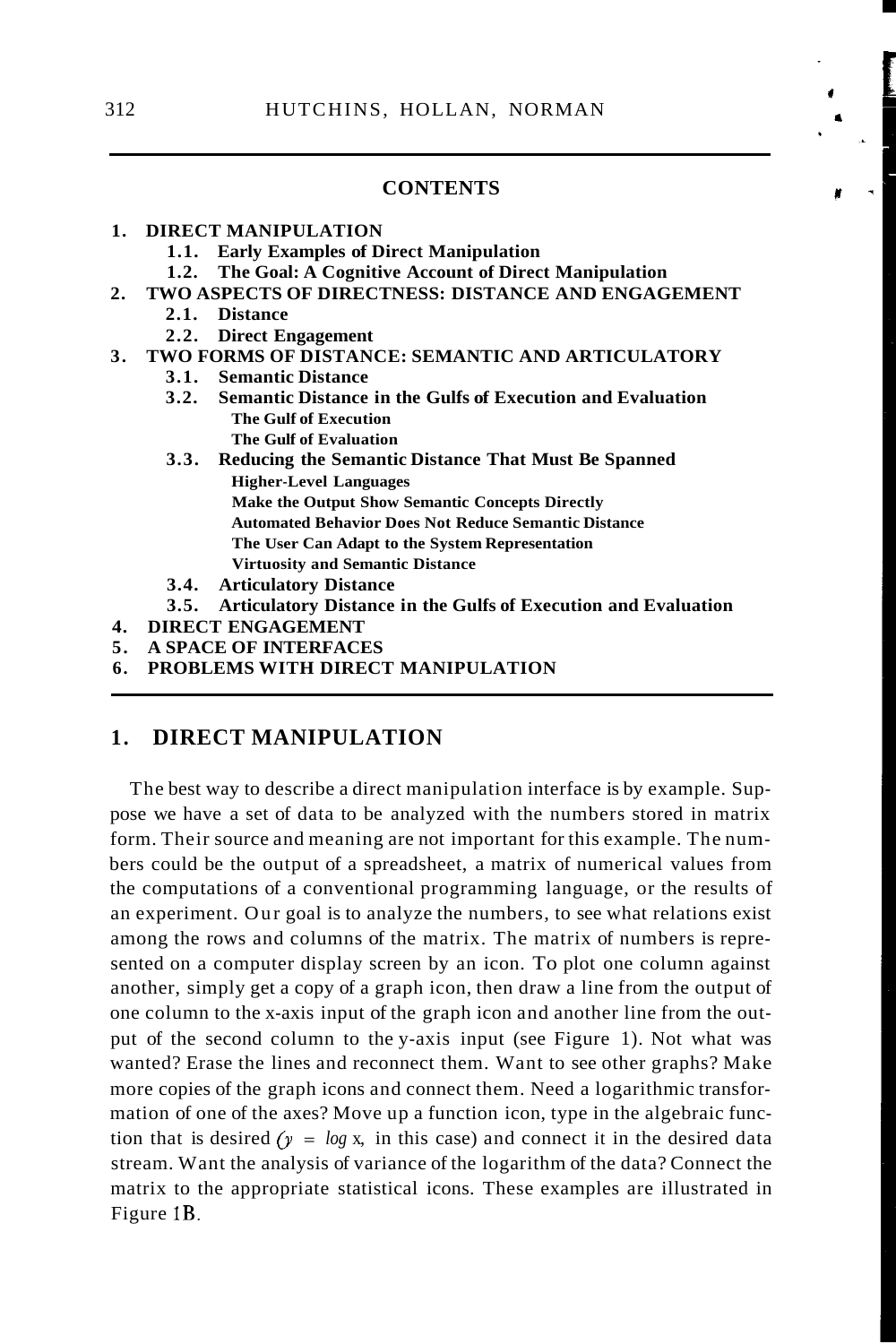# **CONTENTS**

#### **1. DIRECT MANIPULATION**

- **1.1. Early Examples of Direct Manipulation**
- **1.2. The Goal: A Cognitive Account of Direct Manipulation**
- **2. TWO ASPECTS OF DIRECTNESS: DISTANCE AND ENGAGEMENT** 
	- **2.1. Distance**
	- **2.2. Direct Engagement**
- **3. TWO FORMS OF DISTANCE: SEMANTIC AND ARTICULATORY** 
	- **3.1. Semantic Distance**
	- **3.2. Semantic Distance in the Gulfs of Execution and Evaluation The Gulf of Execution The Gulf of Evaluation**
	- **3.3. Reducing the Semantic Distance That Must Be Spanned Higher-Level Languages Make the Output Show Semantic Concepts Directly Automated Behavior Does Not Reduce Semantic Distance The User Can Adapt to the System Representation Virtuosity and Semantic Distance**
	- **3.4. Articulatory Distance**
	- **3.5. Articulatory Distance in the Gulfs of Execution and Evaluation**
- **4. DIRECT ENGAGEMENT**
- **5. A SPACE OF INTERFACES**
- **6. PROBLEMS WITH DIRECT MANIPULATION**

# **1. DIRECT MANIPULATION**

The best way to describe a direct manipulation interface is by example. Suppose we have a set of data to be analyzed with the numbers stored in matrix form. Their source and meaning are not important for this example. The numbers could be the output of a spreadsheet, a matrix of numerical values from the computations of a conventional programming language, or the results of an experiment. Our goal is to analyze the numbers, to see what relations exist among the rows and columns of the matrix. The matrix of numbers is represented on a computer display screen by an icon. To plot one column against another, simply get a copy of a graph icon, then draw a line from the output of one column to the x-axis input of the graph icon and another line from the output of the second column to the y-axis input (see Figure 1). Not what was wanted? Erase the lines and reconnect them. Want to see other graphs? Make more copies of the graph icons and connect them. Need a logarithmic transformation of one of the axes? Move up a function icon, type in the algebraic function that is desired  $(y = log x)$ , in this case) and connect it in the desired data stream. Want the analysis of variance of the logarithm of the data? Connect the matrix to the appropriate statistical icons. These examples are illustrated in Figure 1B.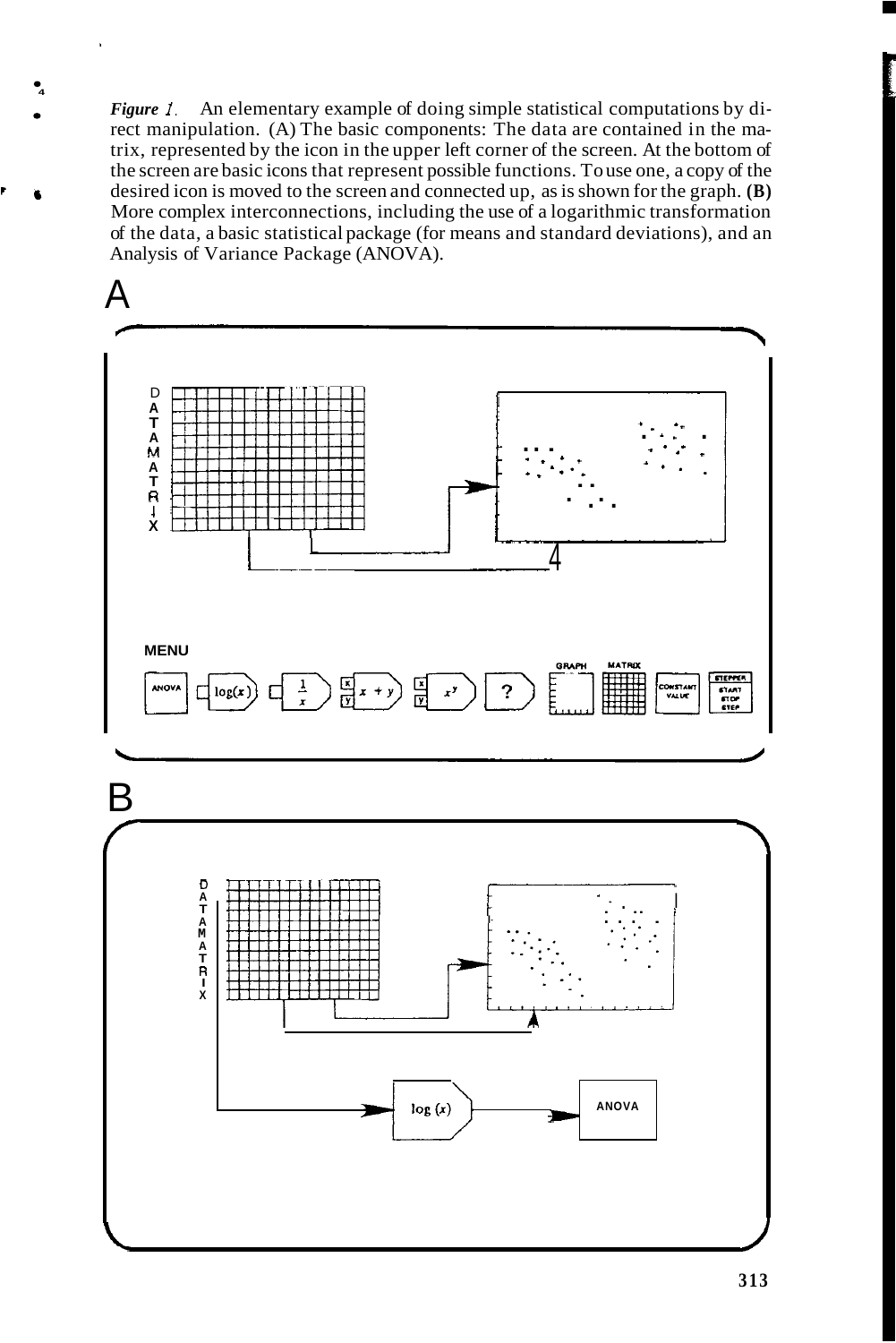*Figure 1.* An elementary example of doing simple statistical computations by direct manipulation. (A) The basic components: The data are contained in the matrix, represented by the icon in the upper left corner of the screen. At the bottom of the screen are basic icons that represent possible functions. To use one, a copy of the desired icon is moved to the screen and connected up, as is shown for the graph. **(B)**  More complex interconnections, including the use of a logarithmic transformation of the data, a basic statistical package (for means and standard deviations), and an Analysis of Variance Package (ANOVA).

**4** 

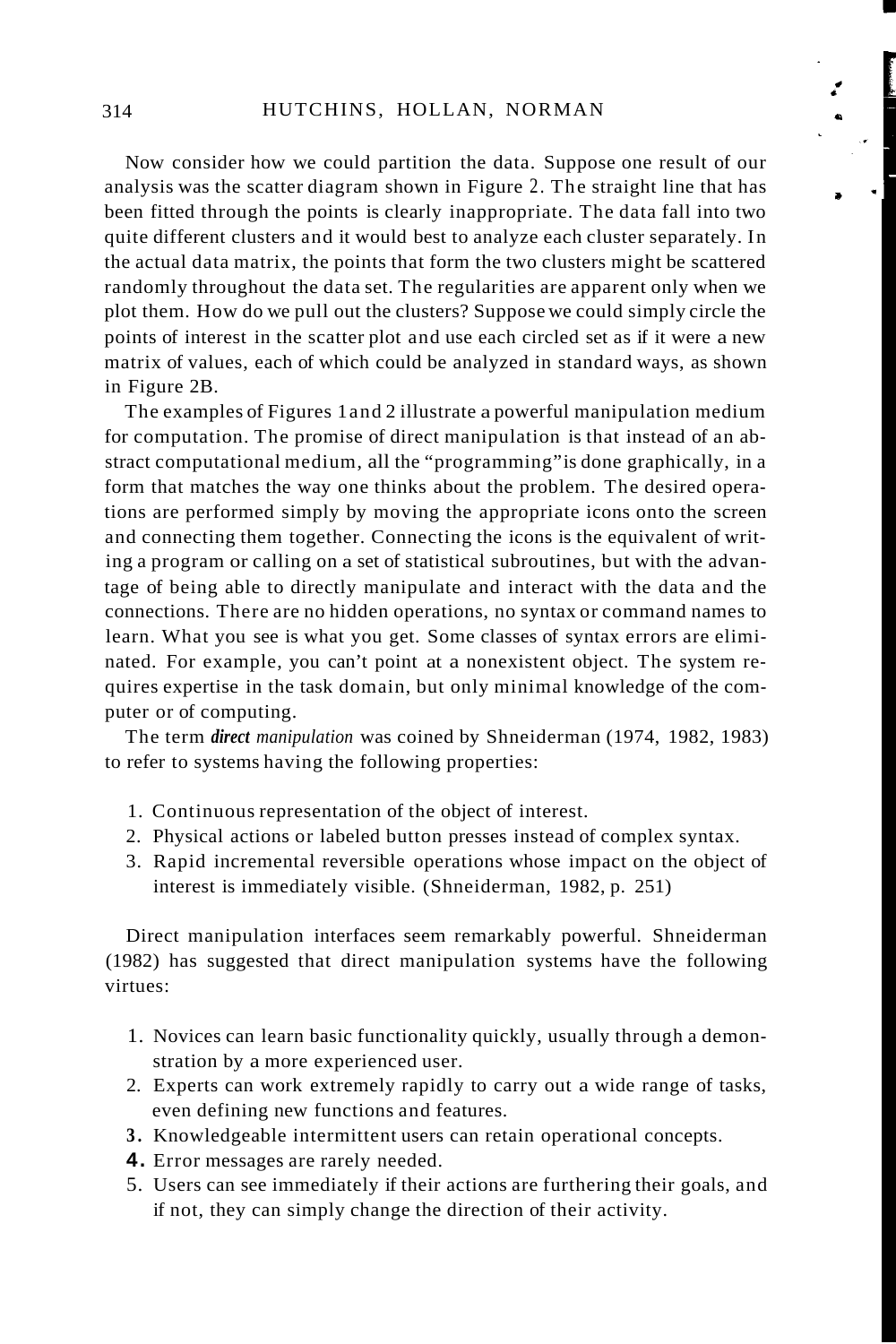Now consider how we could partition the data. Suppose one result of our analysis was the scatter diagram shown in Figure 2. The straight line that has been fitted through the points is clearly inappropriate. The data fall into two quite different clusters and it would best to analyze each cluster separately. In the actual data matrix, the points that form the two clusters might be scattered randomly throughout the data set. The regularities are apparent only when we plot them. How do we pull out the clusters? Suppose we could simply circle the points of interest in the scatter plot and use each circled set as if it were a new matrix of values, each of which could be analyzed in standard ways, as shown in Figure 2B.

The examples of Figures 1 and 2 illustrate a powerful manipulation medium for computation. The promise of direct manipulation is that instead of an abstract computational medium, all the "programming" is done graphically, in a form that matches the way one thinks about the problem. The desired operations are performed simply by moving the appropriate icons onto the screen and connecting them together. Connecting the icons is the equivalent of writing a program or calling on a set of statistical subroutines, but with the advantage of being able to directly manipulate and interact with the data and the connections. There are no hidden operations, no syntax or command names to learn. What you see is what you get. Some classes of syntax errors are eliminated. For example, you can't point at a nonexistent object. The system requires expertise in the task domain, but only minimal knowledge of the computer or of computing.

The term *direct manipulation* was coined by Shneiderman (1974, 1982, 1983) to refer to systems having the following properties:

- 1. Continuous representation of the object of interest.
- 2. Physical actions or labeled button presses instead of complex syntax.
- 3. Rapid incremental reversible operations whose impact on the object of interest is immediately visible. (Shneiderman, 1982, p. 251)

Direct manipulation interfaces seem remarkably powerful. Shneiderman (1982) has suggested that direct manipulation systems have the following virtues:

- 1. Novices can learn basic functionality quickly, usually through a demonstration by a more experienced user.
- 2. Experts can work extremely rapidly to carry out a wide range of tasks, even defining new functions and features.
- **3.** Knowledgeable intermittent users can retain operational concepts.
- **4.** Error messages are rarely needed.
- 5. Users can see immediately if their actions are furthering their goals, and if not, they can simply change the direction of their activity.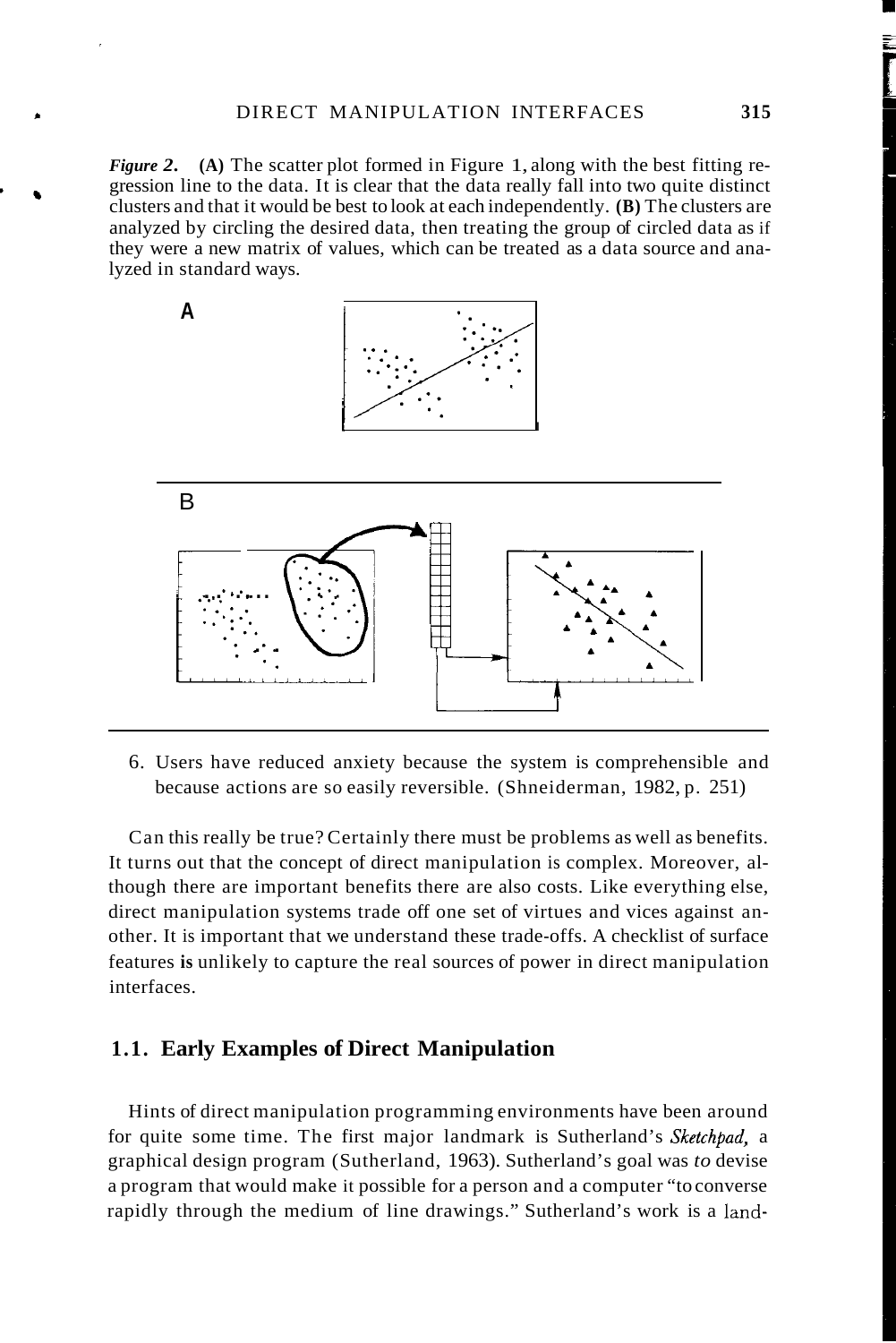*Figure 2.* (A) The scatter plot formed in Figure 1, along with the best fitting regression line to the data. It is clear that the data really fall into two quite distinct clusters and that it would be best to look at each independently. **(B)** The clusters are analyzed by circling the desired data, then treating the group of circled data as if they were a new matrix of values, which can be treated as a data source and analyzed in standard ways.



6. Users have reduced anxiety because the system is comprehensible and because actions are so easily reversible. (Shneiderman, 1982, p. 251)

Can this really be true? Certainly there must be problems as well as benefits. It turns out that the concept of direct manipulation is complex. Moreover, although there are important benefits there are also costs. Like everything else, direct manipulation systems trade off one set of virtues and vices against another. It is important that we understand these trade-offs. A checklist of surface features **is** unlikely to capture the real sources of power in direct manipulation interfaces.

## **1.1. Early Examples of Direct Manipulation**

Hints of direct manipulation programming environments have been around for quite some time. The first major landmark is Sutherland's *Sketchpad,* a graphical design program (Sutherland, 1963). Sutherland's goal was *to* devise a program that would make it possible for a person and a computer "to converse rapidly through the medium of line drawings." Sutherland's work is a land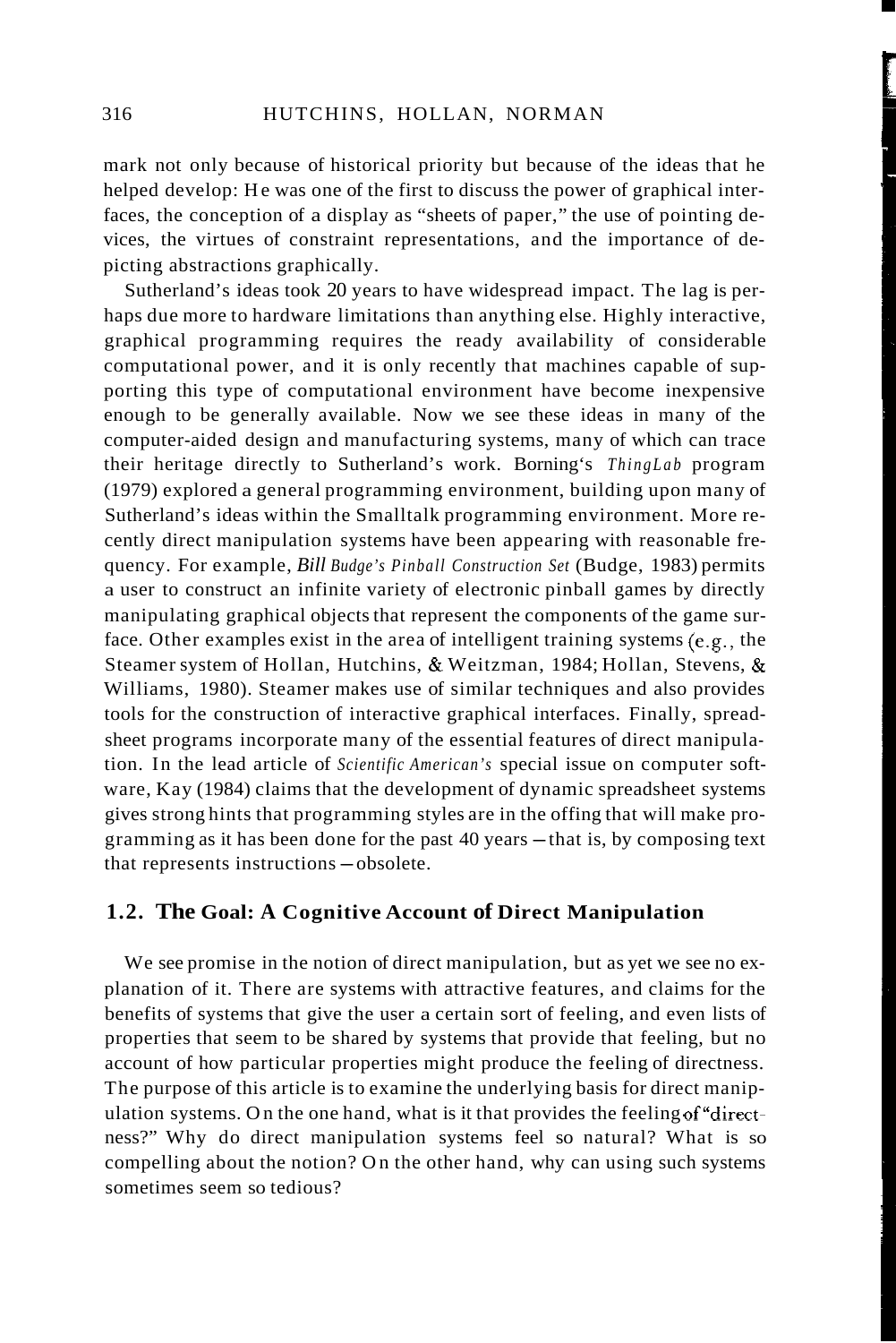mark not only because of historical priority but because of the ideas that he helped develop: He was one of the first to discuss the power of graphical interfaces, the conception of a display as "sheets of paper," the use of pointing devices, the virtues of constraint representations, and the importance of depicting abstractions graphically.

Sutherland's ideas took 20 years to have widespread impact. The lag is perhaps due more to hardware limitations than anything else. Highly interactive, graphical programming requires the ready availability of considerable computational power, and it is only recently that machines capable of supporting this type of computational environment have become inexpensive enough to be generally available. Now we see these ideas in many of the computer-aided design and manufacturing systems, many of which can trace their heritage directly to Sutherland's work. Borning's *ThingLab* program (1979) explored a general programming environment, building upon many of Sutherland's ideas within the Smalltalk programming environment. More recently direct manipulation systems have been appearing with reasonable frequency. For example, *Bill Budge's Pinball Construction Set* (Budge, 1983) permits a user to construct an infinite variety of electronic pinball games by directly manipulating graphical objects that represent the components of the game surface. Other examples exist in the area of intelligent training systems (e.g., the Steamer system of Hollan, Hutchins, & Weitzman, 1984; Hollan, Stevens, & Williams, 1980). Steamer makes use of similar techniques and also provides tools for the construction of interactive graphical interfaces. Finally, spreadsheet programs incorporate many of the essential features of direct manipulation. In the lead article of *Scientific American's* special issue on computer software, Kay (1984) claims that the development of dynamic spreadsheet systems gives strong hints that programming styles are in the offing that will make programming as it has been done for the past  $40$  years  $-$  that is, by composing text that represents instructions - obsolete.

#### **1.2. The Goal: A Cognitive Account of Direct Manipulation**

We see promise in the notion of direct manipulation, but as yet we see no explanation of it. There are systems with attractive features, and claims for the benefits of systems that give the user a certain sort of feeling, and even lists of properties that seem to be shared by systems that provide that feeling, but no account of how particular properties might produce the feeling of directness. The purpose of this article is to examine the underlying basis for direct manipulation systems. On the one hand, what is it that provides the feeling of"directness?" Why do direct manipulation systems feel so natural? What is so compelling about the notion? On the other hand, why can using such systems sometimes seem so tedious?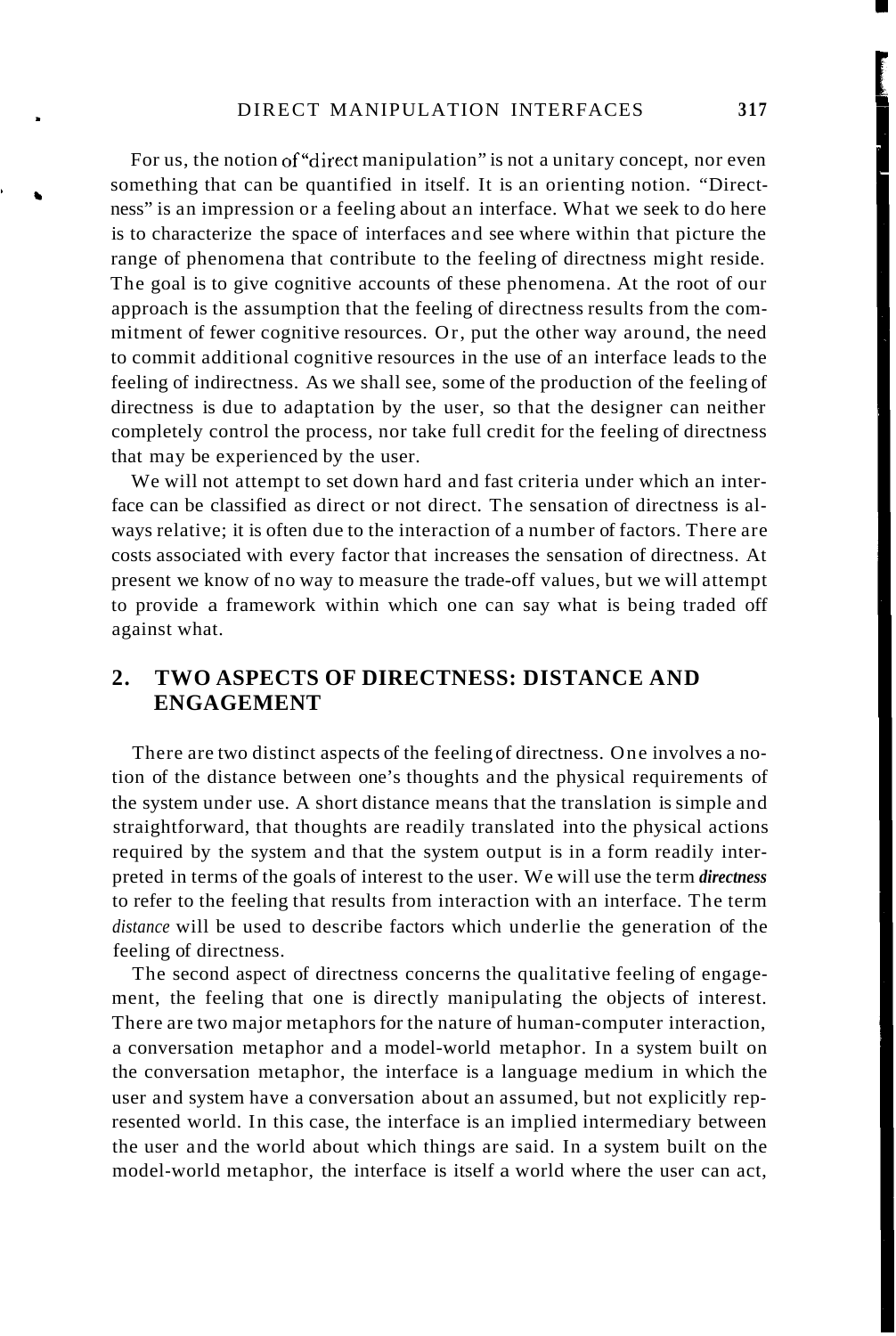For us, the notion of"direct manipulation" is not a unitary concept, nor even something that can be quantified in itself. It is an orienting notion. "Directness" is an impression or a feeling about an interface. What we seek to do here is to characterize the space of interfaces and see where within that picture the range of phenomena that contribute to the feeling of directness might reside. The goal is to give cognitive accounts of these phenomena. At the root of our approach is the assumption that the feeling of directness results from the commitment of fewer cognitive resources. Or, put the other way around, the need to commit additional cognitive resources in the use of an interface leads to the feeling of indirectness. As we shall see, some of the production of the feeling of directness is due to adaptation by the user, so that the designer can neither completely control the process, nor take full credit for the feeling of directness that may be experienced by the user.

We will not attempt to set down hard and fast criteria under which an interface can be classified as direct or not direct. The sensation of directness is always relative; it is often due to the interaction of a number of factors. There are costs associated with every factor that increases the sensation of directness. At present we know of no way to measure the trade-off values, but we will attempt to provide a framework within which one can say what is being traded off against what.

# **2. TWO ASPECTS OF DIRECTNESS: DISTANCE AND ENGAGEMENT**

There are two distinct aspects of the feeling of directness. One involves a notion of the distance between one's thoughts and the physical requirements of the system under use. A short distance means that the translation is simple and straightforward, that thoughts are readily translated into the physical actions required by the system and that the system output is in a form readily interpreted in terms of the goals of interest to the user. We will use the term *directness*  to refer to the feeling that results from interaction with an interface. The term *distance* will be used to describe factors which underlie the generation of the feeling of directness.

The second aspect of directness concerns the qualitative feeling of engagement, the feeling that one is directly manipulating the objects of interest. There are two major metaphors for the nature of human-computer interaction, a conversation metaphor and a model-world metaphor. In a system built on the conversation metaphor, the interface is a language medium in which the user and system have a conversation about an assumed, but not explicitly represented world. In this case, the interface is an implied intermediary between the user and the world about which things are said. In a system built on the model-world metaphor, the interface is itself a world where the user can act,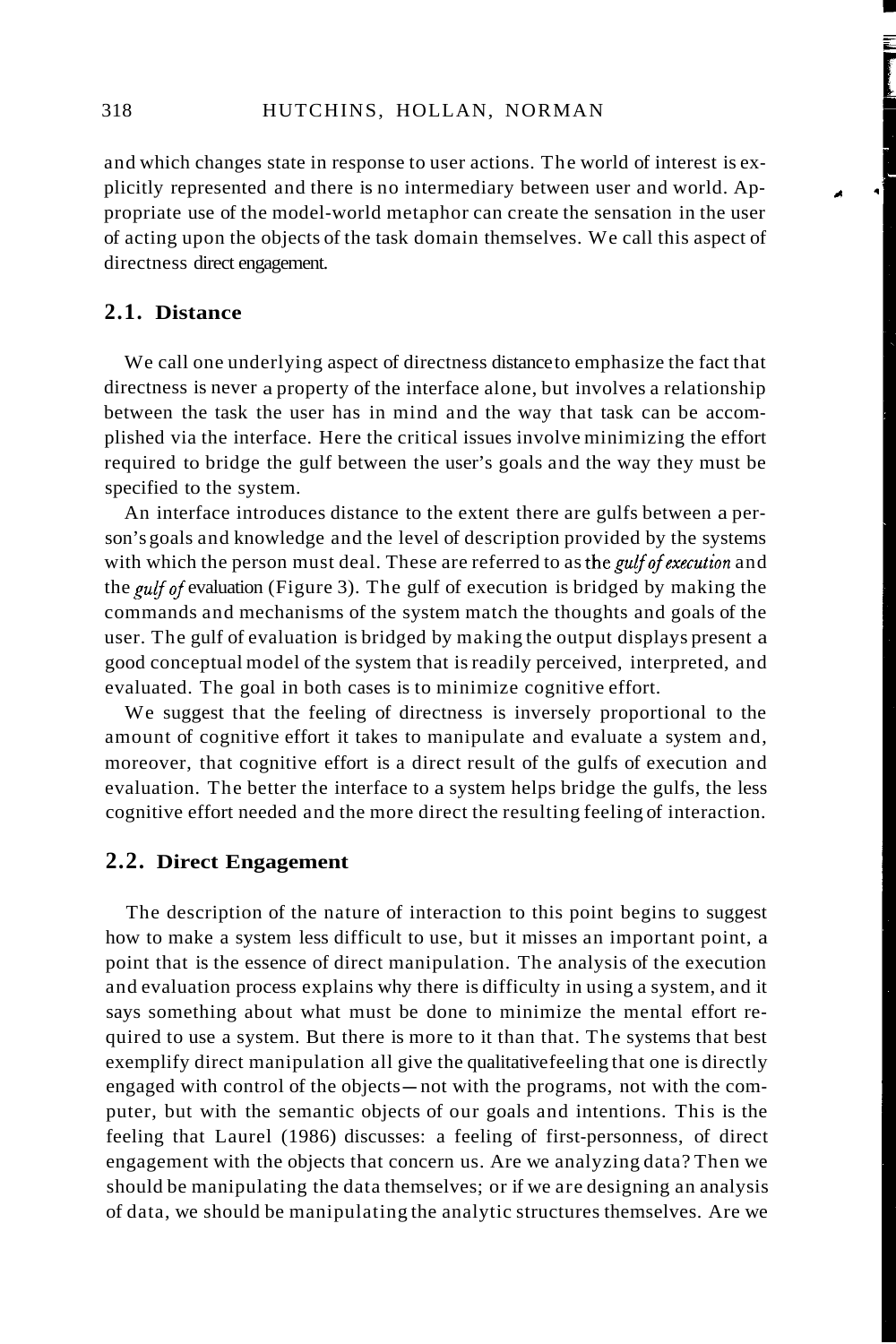and which changes state in response to user actions. The world of interest is explicitly represented and there is no intermediary between user and world. Appropriate use of the model-world metaphor can create the sensation in the user of acting upon the objects of the task domain themselves. We call this aspect of directness direct engagement.

*L* 

## **2.1. Distance**

We call one underlying aspect of directness distance to emphasize the fact that directness is never a property of the interface alone, but involves a relationship between the task the user has in mind and the way that task can be accomplished via the interface. Here the critical issues involve minimizing the effort required to bridge the gulf between the user's goals and the way they must be specified to the system.

An interface introduces distance to the extent there are gulfs between a person's goals and knowledge and the level of description provided by the systems with which the person must deal. These are referred to as the gulf of execution and the *gulf of* evaluation (Figure 3). The gulf of execution is bridged by making the commands and mechanisms of the system match the thoughts and goals of the user. The gulf of evaluation is bridged by making the output displays present a good conceptual model of the system that is readily perceived, interpreted, and evaluated. The goal in both cases is to minimize cognitive effort.

We suggest that the feeling of directness is inversely proportional to the amount of cognitive effort it takes to manipulate and evaluate a system and, moreover, that cognitive effort is a direct result of the gulfs of execution and evaluation. The better the interface to a system helps bridge the gulfs, the less cognitive effort needed and the more direct the resulting feeling of interaction.

#### **2.2. Direct Engagement**

The description of the nature of interaction to this point begins to suggest how to make a system less difficult to use, but it misses an important point, a point that is the essence of direct manipulation. The analysis of the execution and evaluation process explains why there is difficulty in using a system, and it says something about what must be done to minimize the mental effort required to use a system. But there is more to it than that. The systems that best exemplify direct manipulation all give the qualitative feeling that one is directly engaged with control of the objects- not with the programs, not with the computer, but with the semantic objects of our goals and intentions. This is the feeling that Laurel (1986) discusses: a feeling of first-personness, of direct engagement with the objects that concern us. Are we analyzing data? Then we should be manipulating the data themselves; or if we are designing an analysis of data, we should be manipulating the analytic structures themselves. Are we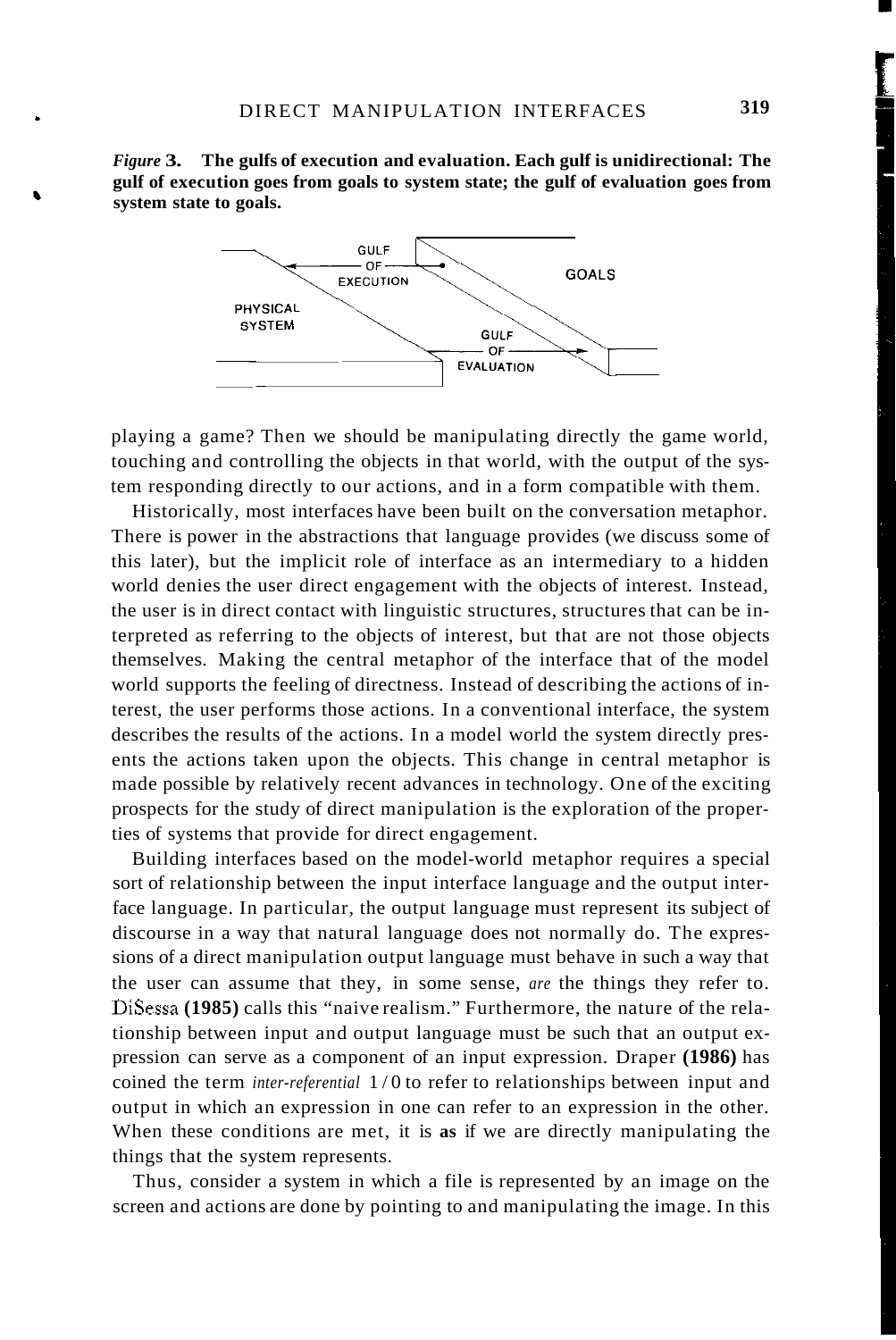*Figure* **3. The gulfs of execution and evaluation. Each gulf is unidirectional: The gulf of execution goes from goals to system state; the gulf of evaluation goes from system state to goals.** 



playing a game? Then we should be manipulating directly the game world, touching and controlling the objects in that world, with the output of the system responding directly to our actions, and in a form compatible with them.

Historically, most interfaces have been built on the conversation metaphor. There is power in the abstractions that language provides (we discuss some of this later), but the implicit role of interface as an intermediary to a hidden world denies the user direct engagement with the objects of interest. Instead, the user is in direct contact with linguistic structures, structures that can be interpreted as referring to the objects of interest, but that are not those objects themselves. Making the central metaphor of the interface that of the model world supports the feeling of directness. Instead of describing the actions of interest, the user performs those actions. In a conventional interface, the system describes the results of the actions. In a model world the system directly presents the actions taken upon the objects. This change in central metaphor is made possible by relatively recent advances in technology. One of the exciting prospects for the study of direct manipulation is the exploration of the properties of systems that provide for direct engagement.

Building interfaces based on the model-world metaphor requires a special sort of relationship between the input interface language and the output interface language. In particular, the output language must represent its subject of discourse in a way that natural language does not normally do. The expressions of a direct manipulation output language must behave in such a way that the user can assume that they, in some sense, *are* the things they refer to. DiSessa **(1985)** calls this "naive realism." Furthermore, the nature of the relationship between input and output language must be such that an output expression can serve as a component of an input expression. Draper **(1986)** has coined the term *inter-referential* 1/0 to refer to relationships between input and output in which an expression in one can refer to an expression in the other. When these conditions are met, it is **as** if we are directly manipulating the things that the system represents.

Thus, consider a system in which a file is represented by an image on the screen and actions are done by pointing to and manipulating the image. In this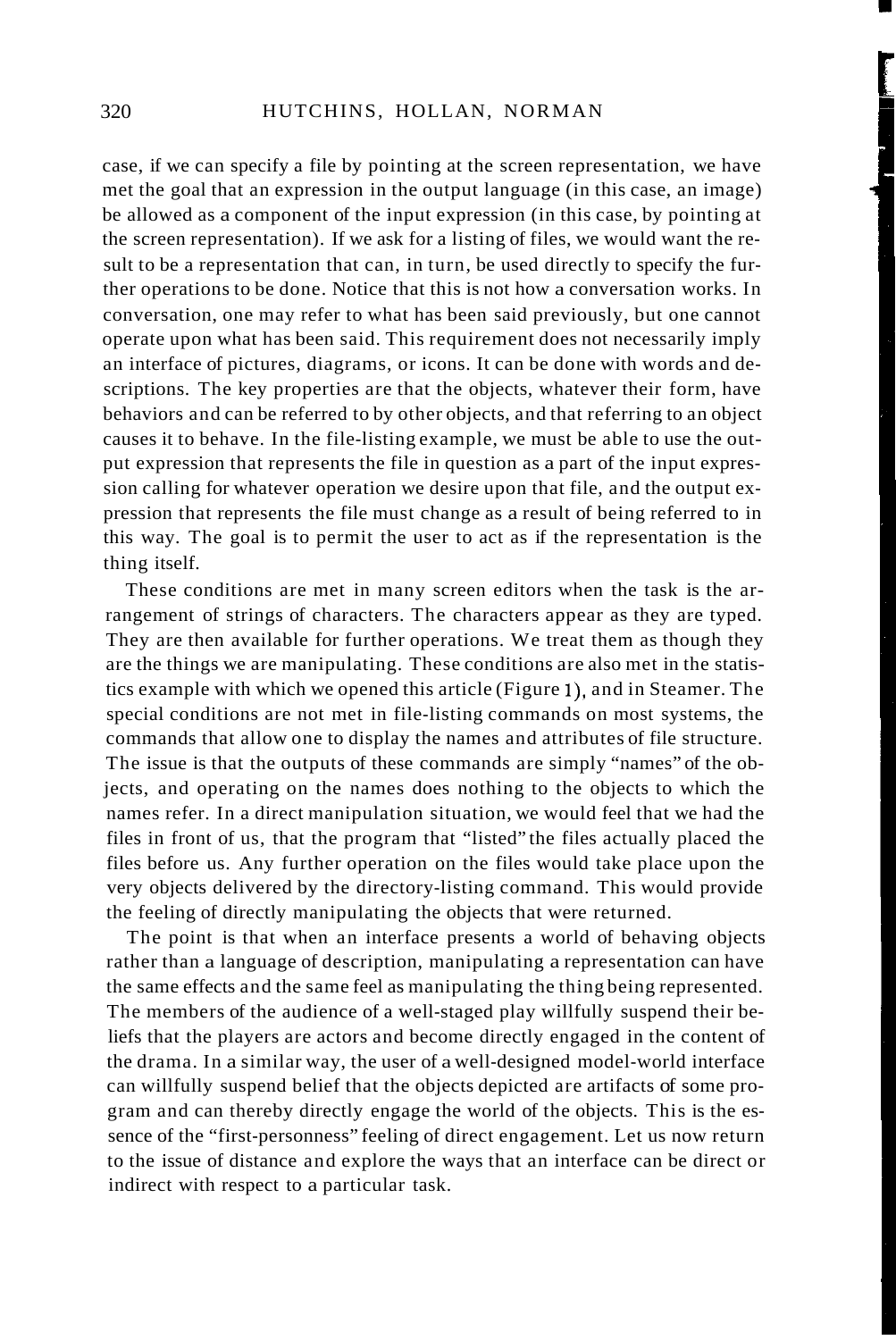case, if we can specify a file by pointing at the screen representation, we have met the goal that an expression in the output language (in this case, an image) be allowed as a component of the input expression (in this case, by pointing at the screen representation). If we ask for a listing of files, we would want the result to be a representation that can, in turn, be used directly to specify the further operations to be done. Notice that this is not how a conversation works. In conversation, one may refer to what has been said previously, but one cannot operate upon what has been said. This requirement does not necessarily imply an interface of pictures, diagrams, or icons. It can be done with words and descriptions. The key properties are that the objects, whatever their form, have behaviors and can be referred to by other objects, and that referring to an object causes it to behave. In the file-listing example, we must be able to use the output expression that represents the file in question as a part of the input expression calling for whatever operation we desire upon that file, and the output expression that represents the file must change as a result of being referred to in this way. The goal is to permit the user to act as if the representation is the thing itself.

These conditions are met in many screen editors when the task is the arrangement of strings of characters. The characters appear as they are typed. They are then available for further operations. We treat them as though they are the things we are manipulating. These conditions are also met in the statistics example with which we opened this article (Figure l), and in Steamer. The special conditions are not met in file-listing commands on most systems, the commands that allow one to display the names and attributes of file structure. The issue is that the outputs of these commands are simply "names" of the objects, and operating on the names does nothing to the objects to which the names refer. In a direct manipulation situation, we would feel that we had the files in front of us, that the program that "listed" the files actually placed the files before us. Any further operation on the files would take place upon the very objects delivered by the directory-listing command. This would provide the feeling of directly manipulating the objects that were returned.

The point is that when an interface presents a world of behaving objects rather than a language of description, manipulating a representation can have the same effects and the same feel as manipulating the thing being represented. The members of the audience of a well-staged play willfully suspend their beliefs that the players are actors and become directly engaged in the content of the drama. In a similar way, the user of a well-designed model-world interface can willfully suspend belief that the objects depicted are artifacts of some program and can thereby directly engage the world of the objects. This is the essence of the "first-personness" feeling of direct engagement. Let us now return to the issue of distance and explore the ways that an interface can be direct or indirect with respect to a particular task.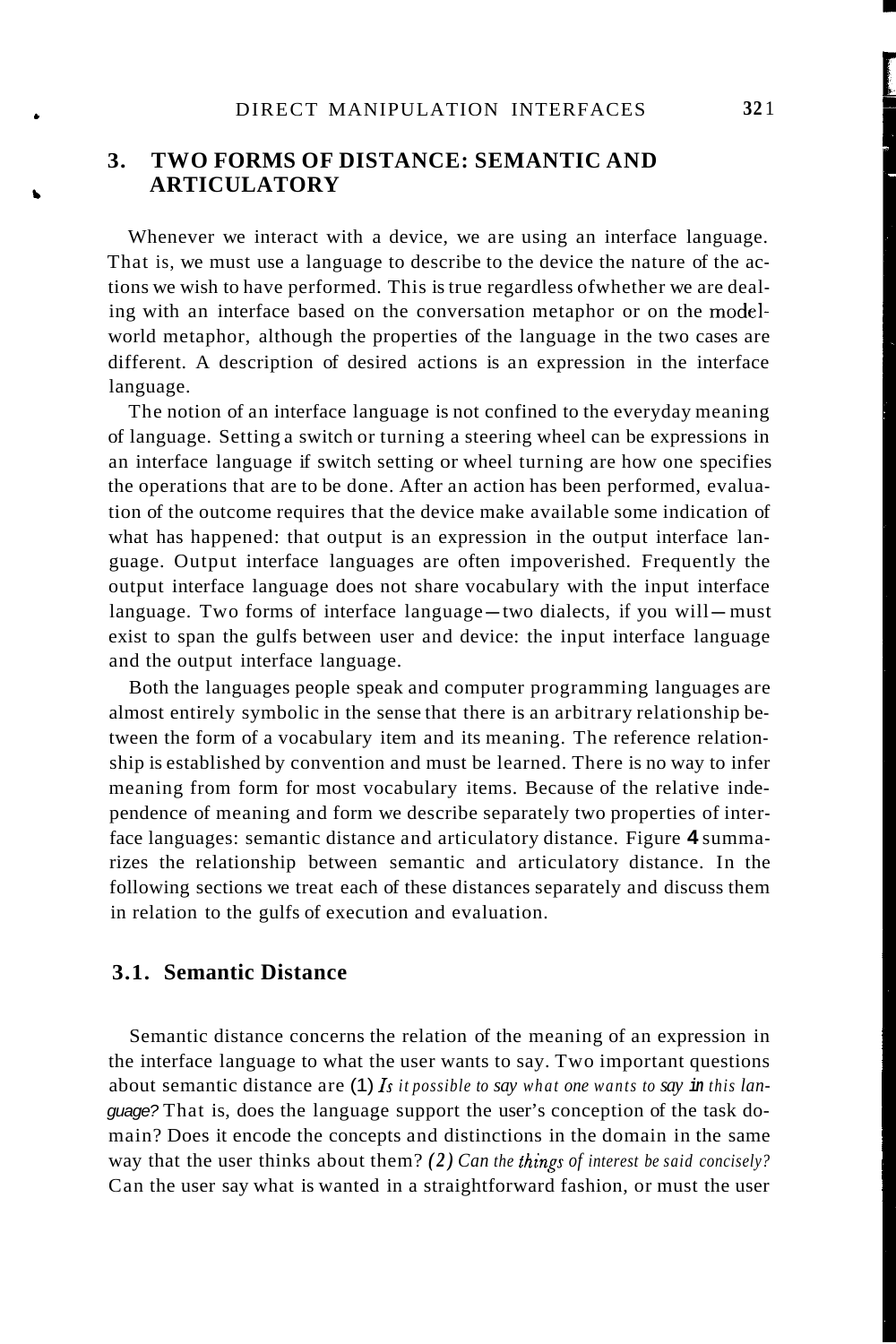# **3. TWO FORMS OF DISTANCE: SEMANTIC AND ARTICULATORY**

Whenever we interact with a device, we are using an interface language. That is, we must use a language to describe to the device the nature of the actions we wish to have performed. This is true regardless ofwhether we are dealing with an interface based on the conversation metaphor or on the modelworld metaphor, although the properties of the language in the two cases are different. A description of desired actions is an expression in the interface language.

The notion of an interface language is not confined to the everyday meaning of language. Setting a switch or turning a steering wheel can be expressions in an interface language if switch setting or wheel turning are how one specifies the operations that are to be done. After an action has been performed, evaluation of the outcome requires that the device make available some indication of what has happened: that output is an expression in the output interface language. Output interface languages are often impoverished. Frequently the output interface language does not share vocabulary with the input interface language. Two forms of interface language- two dialects, if you will-must exist to span the gulfs between user and device: the input interface language and the output interface language.

Both the languages people speak and computer programming languages are almost entirely symbolic in the sense that there is an arbitrary relationship between the form of a vocabulary item and its meaning. The reference relationship is established by convention and must be learned. There is no way to infer meaning from form for most vocabulary items. Because of the relative independence of meaning and form we describe separately two properties of interface languages: semantic distance and articulatory distance. Figure **4** summarizes the relationship between semantic and articulatory distance. In the following sections we treat each of these distances separately and discuss them in relation to the gulfs of execution and evaluation.

# **3.1. Semantic Distance**

Semantic distance concerns the relation of the meaning of an expression in the interface language to what the user wants to say. Two important questions about semantic distance are (1) *Is it possible to say what one wants to say in this language?* That is, does the language support the user's conception of the task domain? Does it encode the concepts and distinctions in the domain in the same way that the user thinks about them? (2) Can the things of interest be said concisely? Can the user say what is wanted in a straightforward fashion, or must the user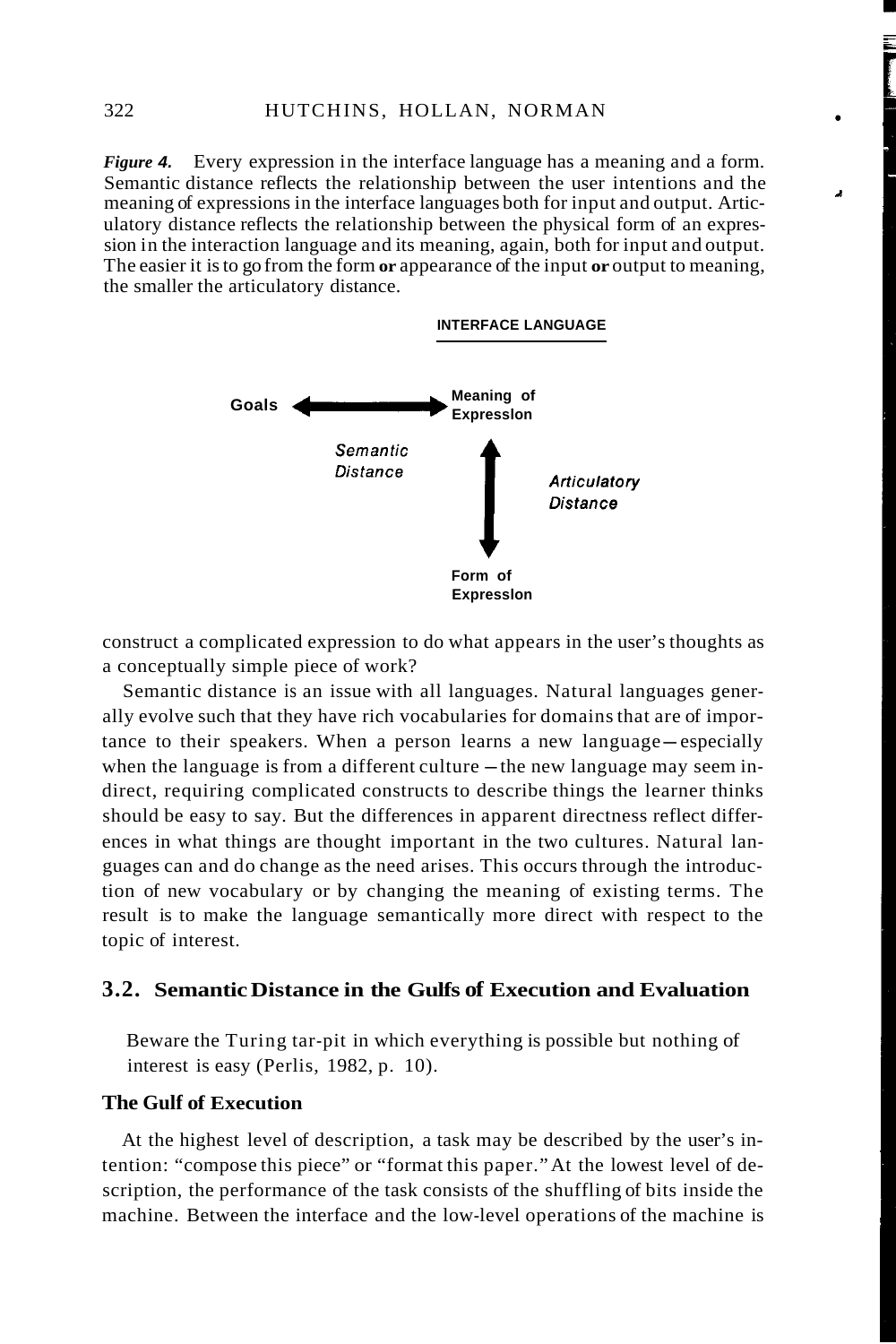*Figure 4.* Every expression in the interface language has a meaning and a form. Semantic distance reflects the relationship between the user intentions and the meaning of expressions in the interface languages both for input and output. Articulatory distance reflects the relationship between the physical form of an expression in the interaction language and its meaning, again, both for input and output. The easier it is to go from the form **or** appearance of the input **or** output to meaning, the smaller the articulatory distance.

**1** 



construct a complicated expression to do what appears in the user's thoughts as a conceptually simple piece of work?

Semantic distance is an issue with all languages. Natural languages generally evolve such that they have rich vocabularies for domains that are of imporally evolve such that they have rich vocabularies for domains that are of importance to their speakers. When a person learns a new language—especially tance to their speakers. When a person learns a new language—especially<br>when the language is from a different culture —the new language may seem indirect, requiring complicated constructs to describe things the learner thinks should be easy to say. But the differences in apparent directness reflect differences in what things are thought important in the two cultures. Natural languages can and do change as the need arises. This occurs through the introduction of new vocabulary or by changing the meaning of existing terms. The result is to make the language semantically more direct with respect to the topic of interest.

#### **3.2. Semantic Distance in the Gulfs of Execution and Evaluation**

Beware the Turing tar-pit in which everything is possible but nothing of interest is easy (Perlis, 1982, p. 10).

#### **The Gulf of Execution**

At the highest level of description, a task may be described by the user's intention: "compose this piece" or "format this paper." At the lowest level of description, the performance of the task consists of the shuffling of bits inside the machine. Between the interface and the low-level operations of the machine is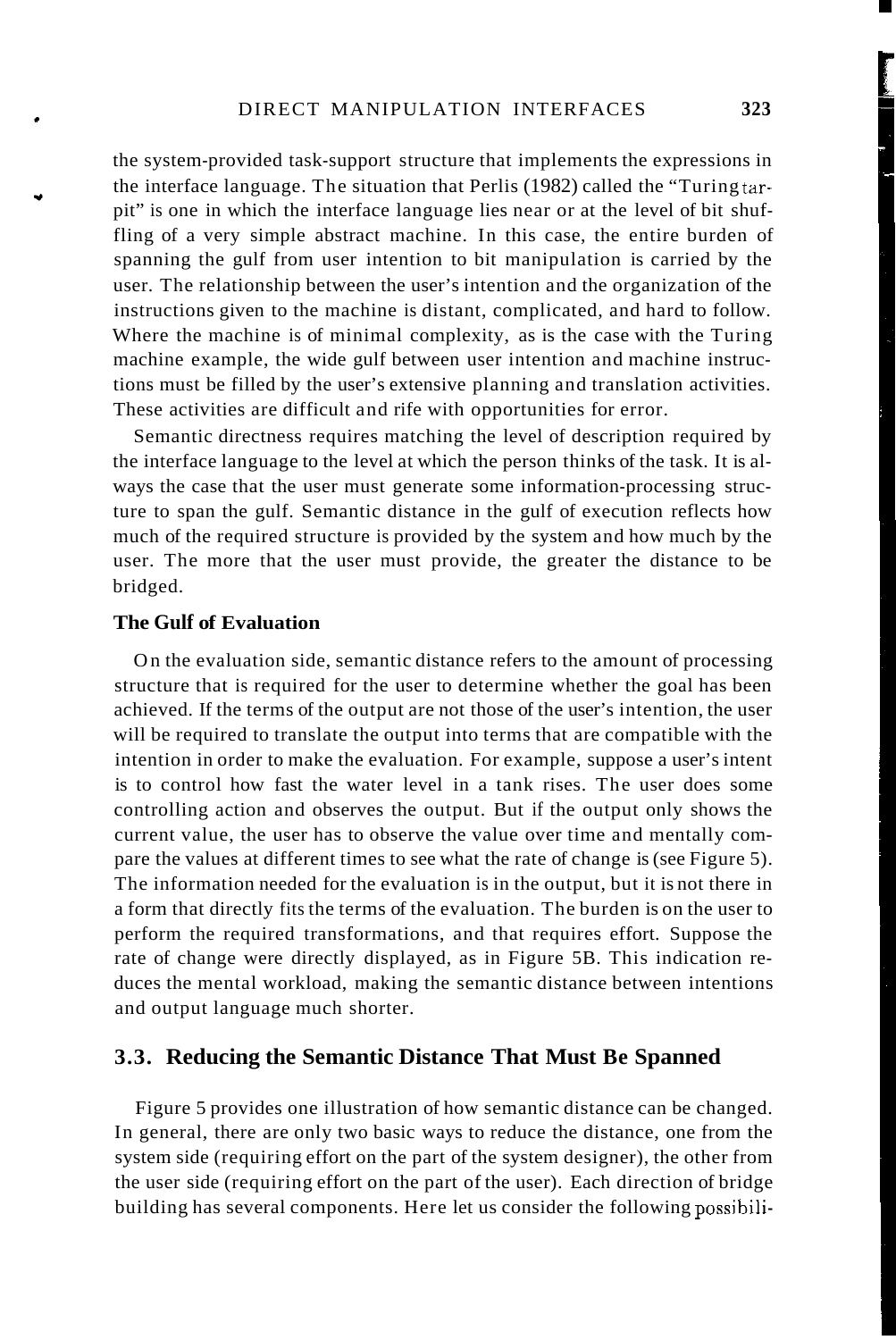the system-provided task-support structure that implements the expressions in the interface language. The situation that Perlis (1982) called the "Turing tarpit" is one in which the interface language lies near or at the level of bit shuffling of a very simple abstract machine. In this case, the entire burden of spanning the gulf from user intention to bit manipulation is carried by the user. The relationship between the user's intention and the organization of the instructions given to the machine is distant, complicated, and hard to follow. Where the machine is of minimal complexity, as is the case with the Turing machine example, the wide gulf between user intention and machine instructions must be filled by the user's extensive planning and translation activities. These activities are difficult and rife with opportunities for error.

Semantic directness requires matching the level of description required by the interface language to the level at which the person thinks of the task. It is always the case that the user must generate some information-processing structure to span the gulf. Semantic distance in the gulf of execution reflects how much of the required structure is provided by the system and how much by the user. The more that the user must provide, the greater the distance to be bridged.

#### **The Gulf of Evaluation**

On the evaluation side, semantic distance refers to the amount of processing structure that is required for the user to determine whether the goal has been achieved. If the terms of the output are not those of the user's intention, the user will be required to translate the output into terms that are compatible with the intention in order to make the evaluation. For example, suppose a user's intent is to control how fast the water level in a tank rises. The user does some controlling action and observes the output. But if the output only shows the current value, the user has to observe the value over time and mentally compare the values at different times to see what the rate of change is (see Figure 5). The information needed for the evaluation is in the output, but it is not there in a form that directly fits the terms of the evaluation. The burden is on the user to perform the required transformations, and that requires effort. Suppose the rate of change were directly displayed, as in Figure 5B. This indication reduces the mental workload, making the semantic distance between intentions and output language much shorter.

## **3.3. Reducing the Semantic Distance That Must Be Spanned**

Figure 5 provides one illustration of how semantic distance can be changed. In general, there are only two basic ways to reduce the distance, one from the system side (requiring effort on the part of the system designer), the other from the user side (requiring effort on the part of the user). Each direction of bridge building has several components. Here let us consider the following possibili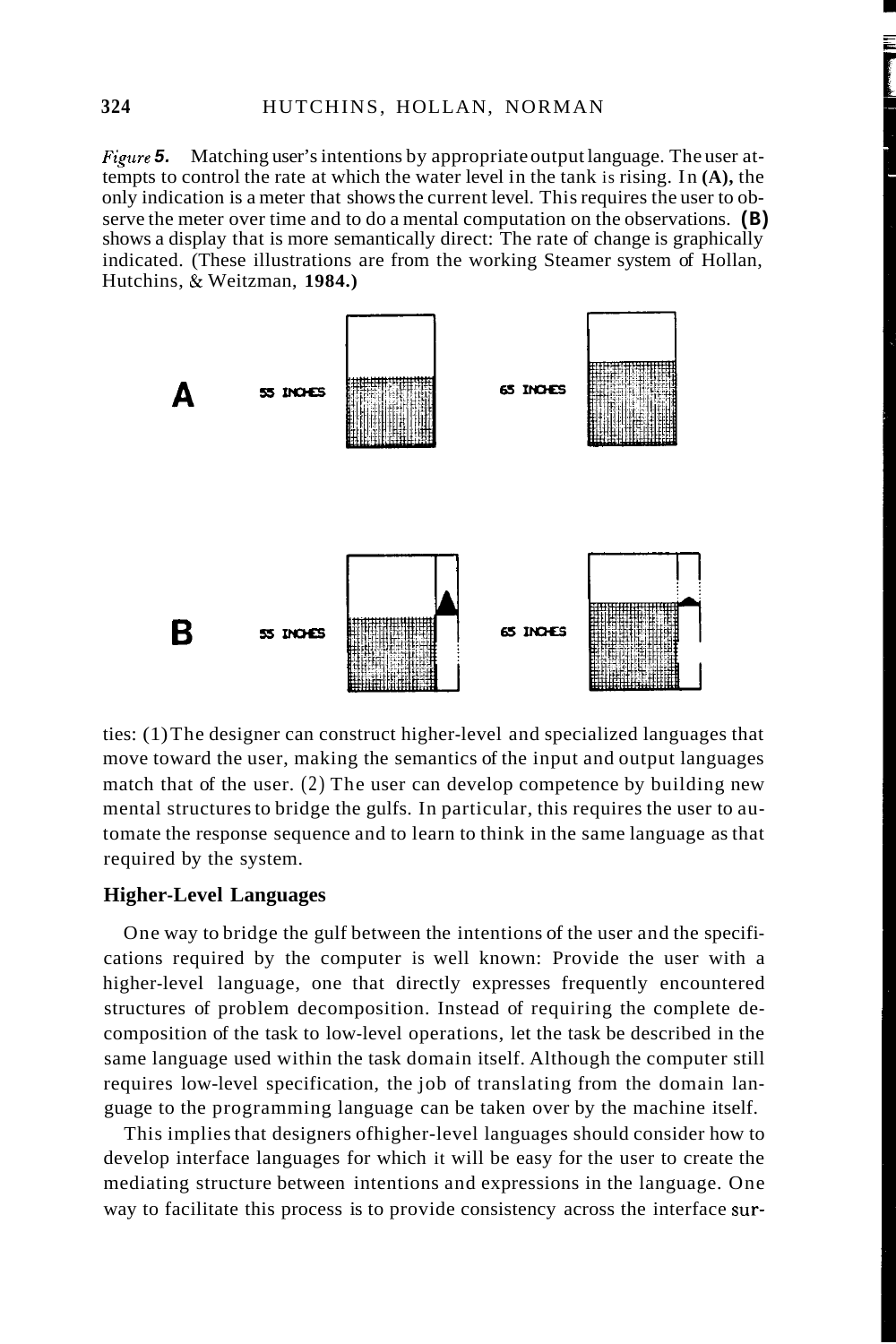*Figure 5.* Matching user's intentions by appropriate output language. The user attempts to control the rate at which the water level in the tank is rising. In **(A),** the only indication is a meter that shows the current level. This requires the user to observe the meter over time and to do a mental computation on the observations. **(B)**  shows a display that is more semantically direct: The rate of change is graphically indicated. (These illustrations are from the working Steamer system of Hollan, Hutchins, & Weitzman, **1984.)** 



ties: (1) The designer can construct higher-level and specialized languages that move toward the user, making the semantics of the input and output languages match that of the user. (2) The user can develop competence by building new mental structures to bridge the gulfs. In particular, this requires the user to automate the response sequence and to learn to think in the same language as that required by the system.

# **Higher-Level Languages**

One way to bridge the gulf between the intentions of the user and the specifications required by the computer is well known: Provide the user with a higher-level language, one that directly expresses frequently encountered structures of problem decomposition. Instead of requiring the complete decomposition of the task to low-level operations, let the task be described in the same language used within the task domain itself. Although the computer still requires low-level specification, the job of translating from the domain language to the programming language can be taken over by the machine itself.

This implies that designers ofhigher-level languages should consider how to develop interface languages for which it will be easy for the user to create the mediating structure between intentions and expressions in the language. One way to facilitate this process is to provide consistency across the interface sur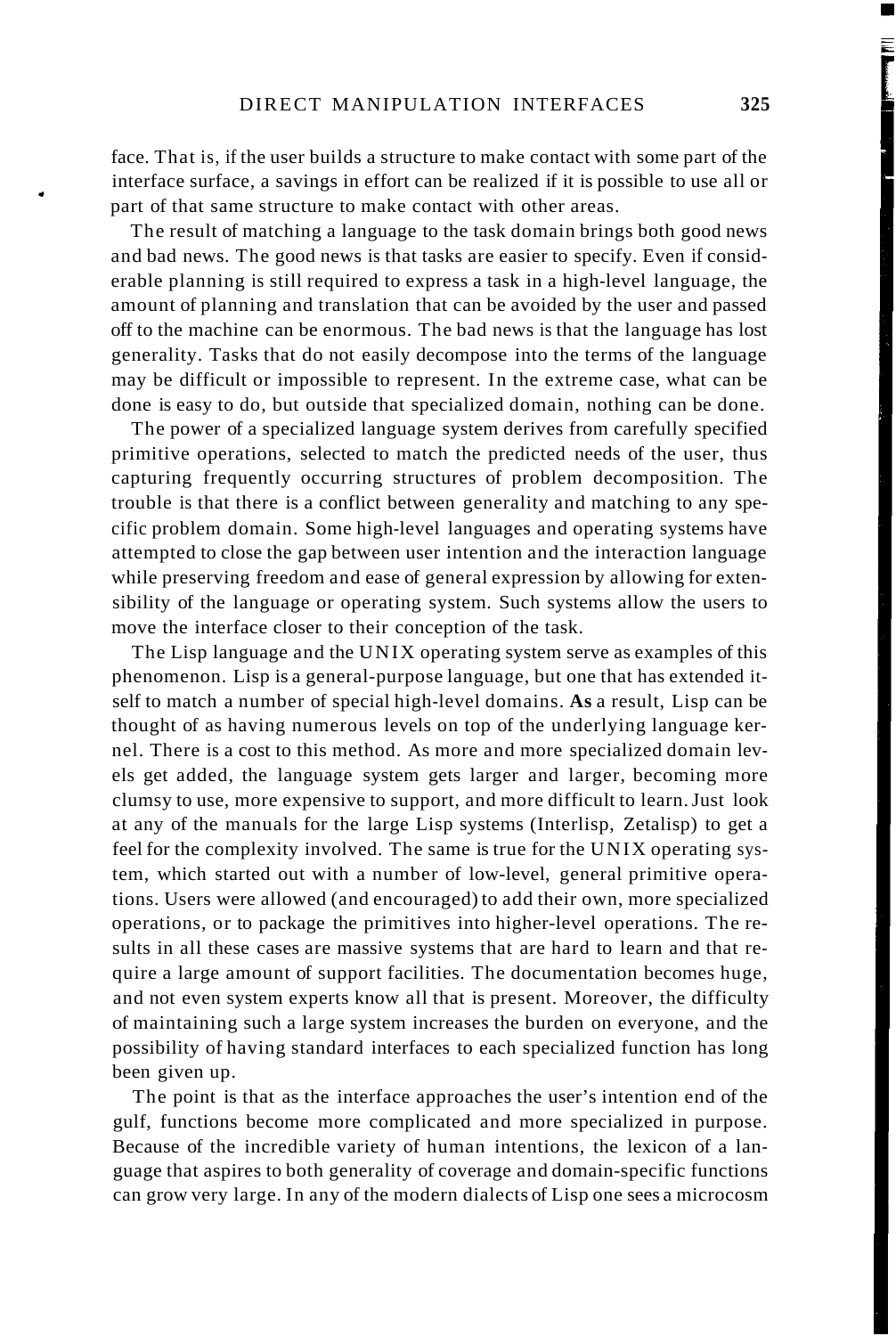face. That is, if the user builds a structure to make contact with some part of the interface surface, a savings in effort can be realized if it is possible to use all or part of that same structure to make contact with other areas.

The result of matching a language to the task domain brings both good news and bad news. The good news is that tasks are easier to specify. Even if considerable planning is still required to express a task in a high-level language, the amount of planning and translation that can be avoided by the user and passed off to the machine can be enormous. The bad news is that the language has lost generality. Tasks that do not easily decompose into the terms of the language may be difficult or impossible to represent. In the extreme case, what can be done is easy to do, but outside that specialized domain, nothing can be done.

The power of a specialized language system derives from carefully specified primitive operations, selected to match the predicted needs of the user, thus capturing frequently occurring structures of problem decomposition. The trouble is that there is a conflict between generality and matching to any specific problem domain. Some high-level languages and operating systems have attempted to close the gap between user intention and the interaction language while preserving freedom and ease of general expression by allowing for extensibility of the language or operating system. Such systems allow the users to move the interface closer to their conception of the task.

The Lisp language and the UNIX operating system serve as examples of this phenomenon. Lisp is a general-purpose language, but one that has extended itself to match a number of special high-level domains. **As** a result, Lisp can be thought of as having numerous levels on top of the underlying language kernel. There is a cost to this method. As more and more specialized domain levels get added, the language system gets larger and larger, becoming more clumsy to use, more expensive to support, and more difficult to learn. Just look at any of the manuals for the large Lisp systems (Interlisp, Zetalisp) to get a feel for the complexity involved. The same is true for the UNIX operating system, which started out with a number of low-level, general primitive operations. Users were allowed (and encouraged) to add their own, more specialized operations, or to package the primitives into higher-level operations. The results in all these cases are massive systems that are hard to learn and that require a large amount of support facilities. The documentation becomes huge, and not even system experts know all that is present. Moreover, the difficulty of maintaining such a large system increases the burden on everyone, and the possibility of having standard interfaces to each specialized function has long been given up.

The point is that as the interface approaches the user's intention end of the gulf, functions become more complicated and more specialized in purpose. Because of the incredible variety of human intentions, the lexicon of a language that aspires to both generality of coverage and domain-specific functions can grow very large. In any of the modern dialects of Lisp one sees a microcosm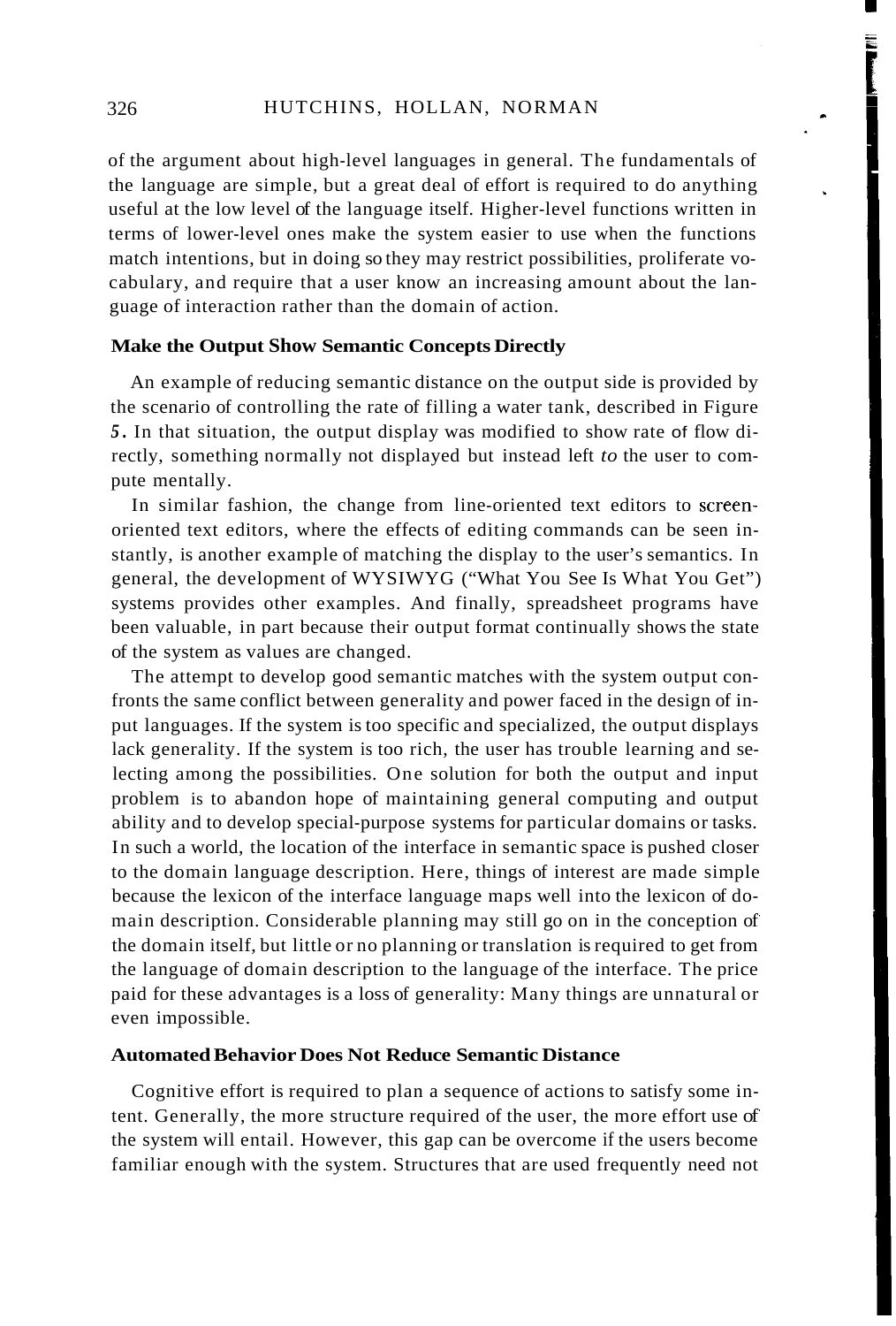of the argument about high-level languages in general. The fundamentals of the language are simple, but a great deal of effort is required to do anything useful at the low level of the language itself. Higher-level functions written in terms of lower-level ones make the system easier to use when the functions match intentions, but in doing so they may restrict possibilities, proliferate vocabulary, and require that a user know an increasing amount about the language of interaction rather than the domain of action.

#### **Make the Output Show Semantic Concepts Directly**

An example of reducing semantic distance on the output side is provided by the scenario of controlling the rate of filling a water tank, described in Figure *5.* In that situation, the output display was modified to show rate of flow directly, something normally not displayed but instead left *to* the user to compute mentally.

In similar fashion, the change from line-oriented text editors to screenoriented text editors, where the effects of editing commands can be seen instantly, is another example of matching the display to the user's semantics. In general, the development of WYSIWYG ("What You See Is What You Get") systems provides other examples. And finally, spreadsheet programs have been valuable, in part because their output format continually shows the state of the system as values are changed.

The attempt to develop good semantic matches with the system output confronts the same conflict between generality and power faced in the design of input languages. If the system is too specific and specialized, the output displays lack generality. If the system is too rich, the user has trouble learning and selecting among the possibilities. One solution for both the output and input problem is to abandon hope of maintaining general computing and output ability and to develop special-purpose systems for particular domains or tasks. In such a world, the location of the interface in semantic space is pushed closer to the domain language description. Here, things of interest are made simple because the lexicon of the interface language maps well into the lexicon of domain description. Considerable planning may still go on in the conception of the domain itself, but little or no planning or translation is required to get from the language of domain description to the language of the interface. The price paid for these advantages is a loss of generality: Many things are unnatural or even impossible.

#### **Automated Behavior Does Not Reduce Semantic Distance**

Cognitive effort is required to plan a sequence of actions to satisfy some intent. Generally, the more structure required of the user, the more effort use of the system will entail. However, this gap can be overcome if the users become familiar enough with the system. Structures that are used frequently need not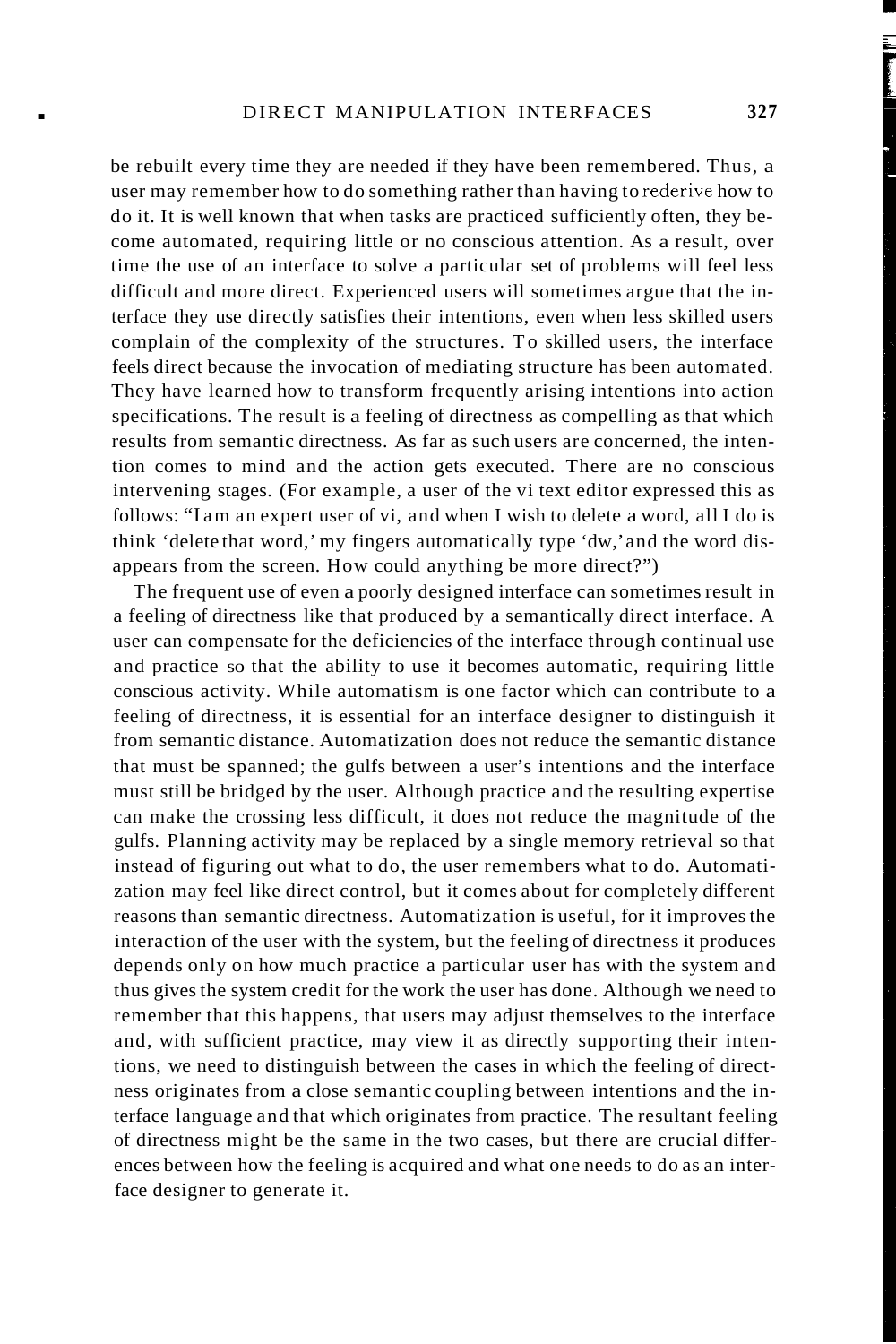be rebuilt every time they are needed if they have been remembered. Thus, a user may remember how to do something rather than having to rederive how to do it. It is well known that when tasks are practiced sufficiently often, they become automated, requiring little or no conscious attention. As a result, over time the use of an interface to solve a particular set of problems will feel less difficult and more direct. Experienced users will sometimes argue that the interface they use directly satisfies their intentions, even when less skilled users complain of the complexity of the structures. To skilled users, the interface feels direct because the invocation of mediating structure has been automated. They have learned how to transform frequently arising intentions into action specifications. The result is a feeling of directness as compelling as that which results from semantic directness. As far as such users are concerned, the intention comes to mind and the action gets executed. There are no conscious intervening stages. (For example, a user of the vi text editor expressed this as follows: "I am an expert user of vi, and when I wish to delete a word, all I do is think 'delete that word,' my fingers automatically type 'dw,' and the word disappears from the screen. How could anything be more direct?")

The frequent use of even a poorly designed interface can sometimes result in a feeling of directness like that produced by a semantically direct interface. A user can compensate for the deficiencies of the interface through continual use and practice so that the ability to use it becomes automatic, requiring little conscious activity. While automatism is one factor which can contribute to a feeling of directness, it is essential for an interface designer to distinguish it from semantic distance. Automatization does not reduce the semantic distance that must be spanned; the gulfs between a user's intentions and the interface must still be bridged by the user. Although practice and the resulting expertise can make the crossing less difficult, it does not reduce the magnitude of the gulfs. Planning activity may be replaced by a single memory retrieval so that instead of figuring out what to do, the user remembers what to do. Automatization may feel like direct control, but it comes about for completely different reasons than semantic directness. Automatization is useful, for it improves the interaction of the user with the system, but the feeling of directness it produces depends only on how much practice a particular user has with the system and thus gives the system credit for the work the user has done. Although we need to remember that this happens, that users may adjust themselves to the interface and, with sufficient practice, may view it as directly supporting their intentions, we need to distinguish between the cases in which the feeling of directness originates from a close semantic coupling between intentions and the interface language and that which originates from practice. The resultant feeling of directness might be the same in the two cases, but there are crucial differences between how the feeling is acquired and what one needs to do as an interface designer to generate it.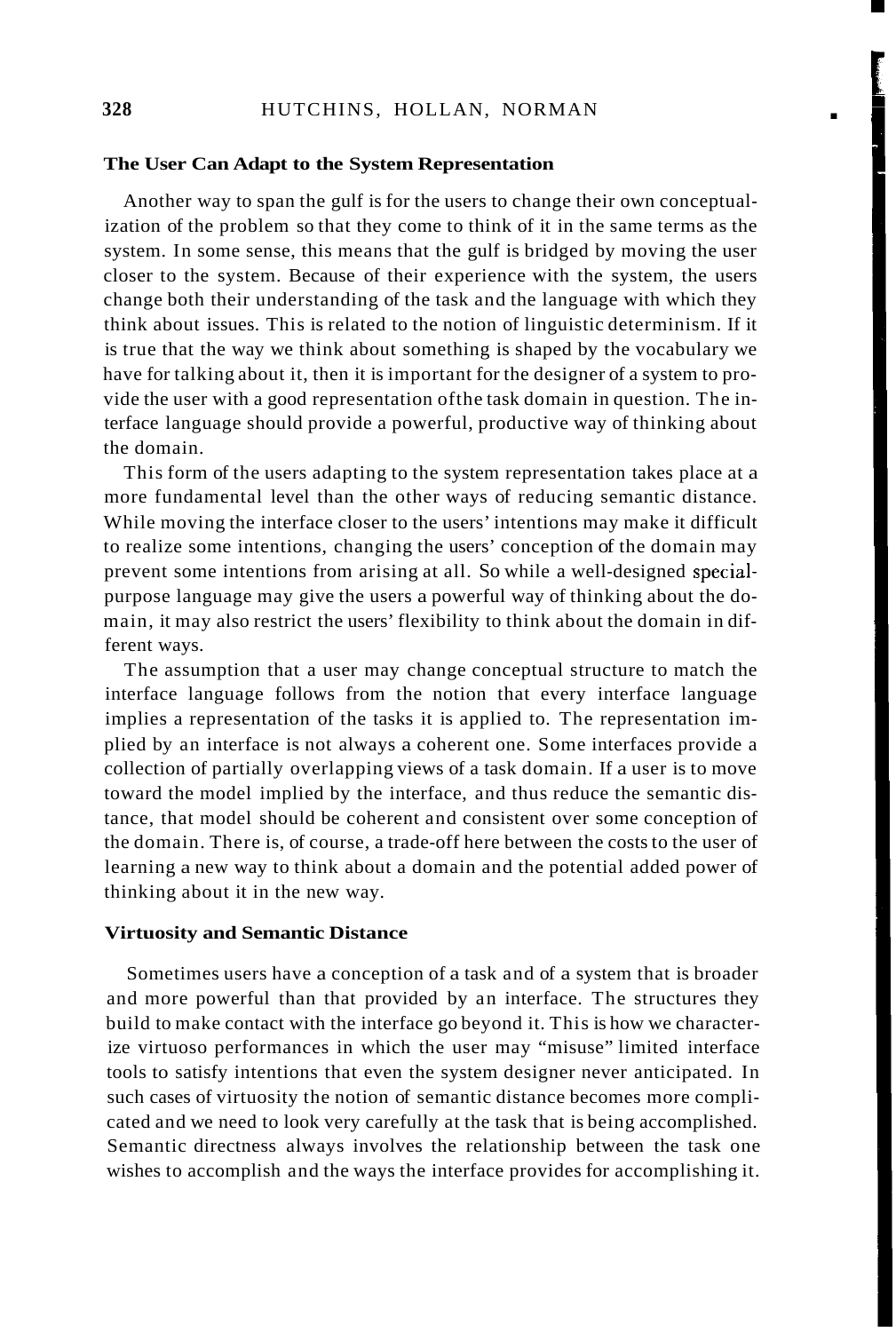.

#### **The User Can Adapt to the System Representation**

Another way to span the gulf is for the users to change their own conceptualization of the problem so that they come to think of it in the same terms as the system. In some sense, this means that the gulf is bridged by moving the user closer to the system. Because of their experience with the system, the users change both their understanding of the task and the language with which they think about issues. This is related to the notion of linguistic determinism. If it is true that the way we think about something is shaped by the vocabulary we have for talking about it, then it is important for the designer of a system to provide the user with a good representation ofthe task domain in question. The interface language should provide a powerful, productive way of thinking about the domain.

This form of the users adapting to the system representation takes place at a more fundamental level than the other ways of reducing semantic distance. While moving the interface closer to the users' intentions may make it difficult to realize some intentions, changing the users' conception of the domain may prevent some intentions from arising at all. So while a well-designed specialpurpose language may give the users a powerful way of thinking about the domain, it may also restrict the users' flexibility to think about the domain in different ways.

The assumption that a user may change conceptual structure to match the interface language follows from the notion that every interface language implies a representation of the tasks it is applied to. The representation implied by an interface is not always a coherent one. Some interfaces provide a collection of partially overlapping views of a task domain. If a user is to move toward the model implied by the interface, and thus reduce the semantic distance, that model should be coherent and consistent over some conception of the domain. There is, of course, a trade-off here between the costs to the user of learning a new way to think about a domain and the potential added power of thinking about it in the new way.

#### **Virtuosity and Semantic Distance**

Sometimes users have a conception of a task and of a system that is broader and more powerful than that provided by an interface. The structures they build to make contact with the interface go beyond it. This is how we characterize virtuoso performances in which the user may "misuse" limited interface tools to satisfy intentions that even the system designer never anticipated. In such cases of virtuosity the notion of semantic distance becomes more complicated and we need to look very carefully at the task that is being accomplished. Semantic directness always involves the relationship between the task one wishes to accomplish and the ways the interface provides for accomplishing it.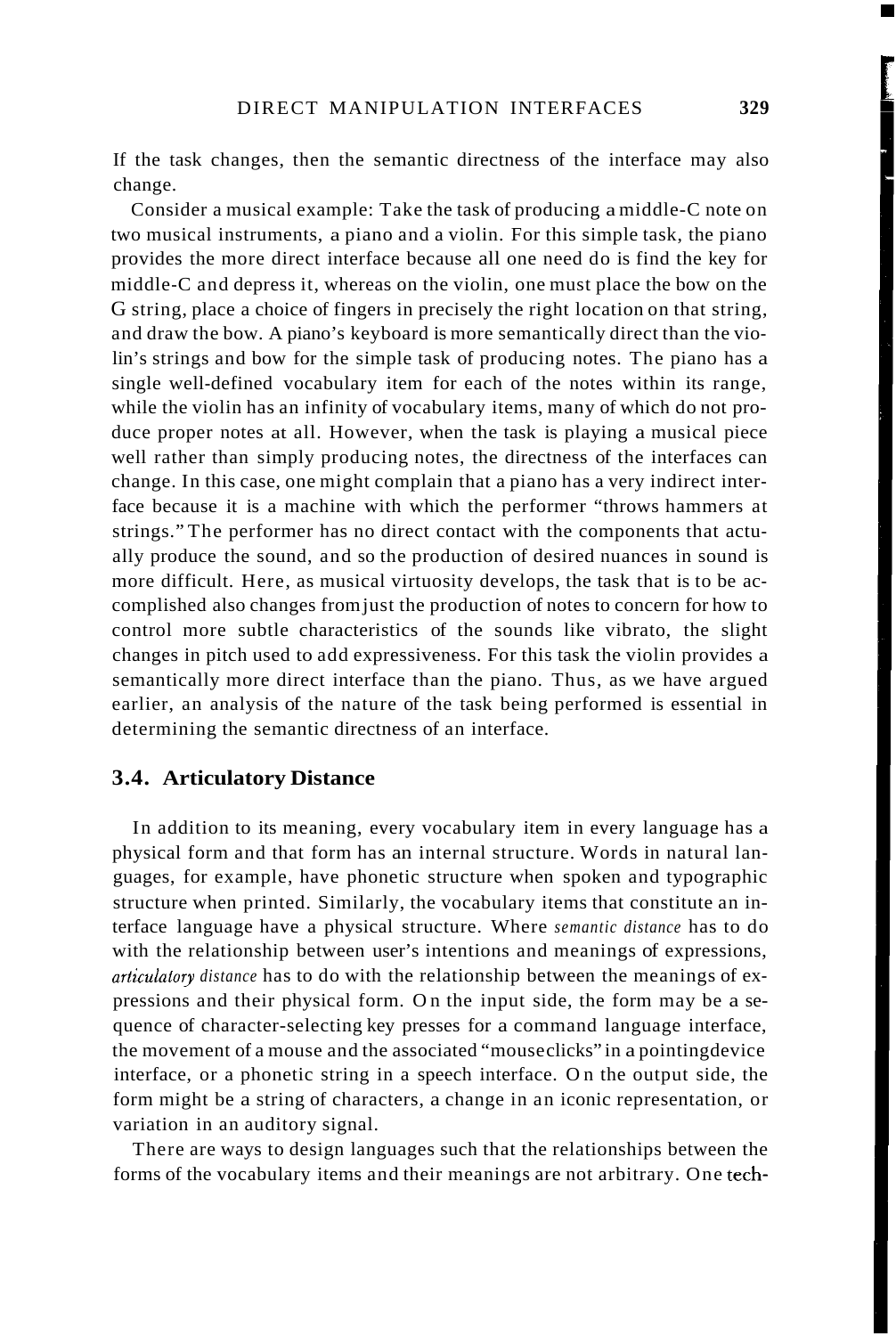If the task changes, then the semantic directness of the interface may also change.

Consider a musical example: Take the task of producing a middle-C note on two musical instruments, a piano and a violin. For this simple task, the piano provides the more direct interface because all one need do is find the key for middle-C and depress it, whereas on the violin, one must place the bow on the G string, place a choice of fingers in precisely the right location on that string, and draw the bow. A piano's keyboard is more semantically direct than the violin's strings and bow for the simple task of producing notes. The piano has a single well-defined vocabulary item for each of the notes within its range, while the violin has an infinity of vocabulary items, many of which do not produce proper notes at all. However, when the task is playing a musical piece well rather than simply producing notes, the directness of the interfaces can change. In this case, one might complain that a piano has a very indirect interface because it is a machine with which the performer "throws hammers at strings." The performer has no direct contact with the components that actually produce the sound, and so the production of desired nuances in sound is more difficult. Here, as musical virtuosity develops, the task that is to be accomplished also changes from just the production of notes to concern for how to control more subtle characteristics of the sounds like vibrato, the slight changes in pitch used to add expressiveness. For this task the violin provides a semantically more direct interface than the piano. Thus, as we have argued earlier, an analysis of the nature of the task being performed is essential in determining the semantic directness of an interface.

## **3.4. Articulatory Distance**

In addition to its meaning, every vocabulary item in every language has a physical form and that form has an internal structure. Words in natural languages, for example, have phonetic structure when spoken and typographic structure when printed. Similarly, the vocabulary items that constitute an interface language have a physical structure. Where *semantic distance* has to do with the relationship between user's intentions and meanings of expressions, *articulatory distance* has to do with the relationship between the meanings of expressions and their physical form. On the input side, the form may be a sequence of character-selecting key presses for a command language interface, the movement of a mouse and the associated "mouse clicks" in a pointingdevice interface, or a phonetic string in a speech interface. On the output side, the form might be a string of characters, a change in an iconic representation, or variation in an auditory signal.

There are ways to design languages such that the relationships between the forms of the vocabulary items and their meanings are not arbitrary. One tech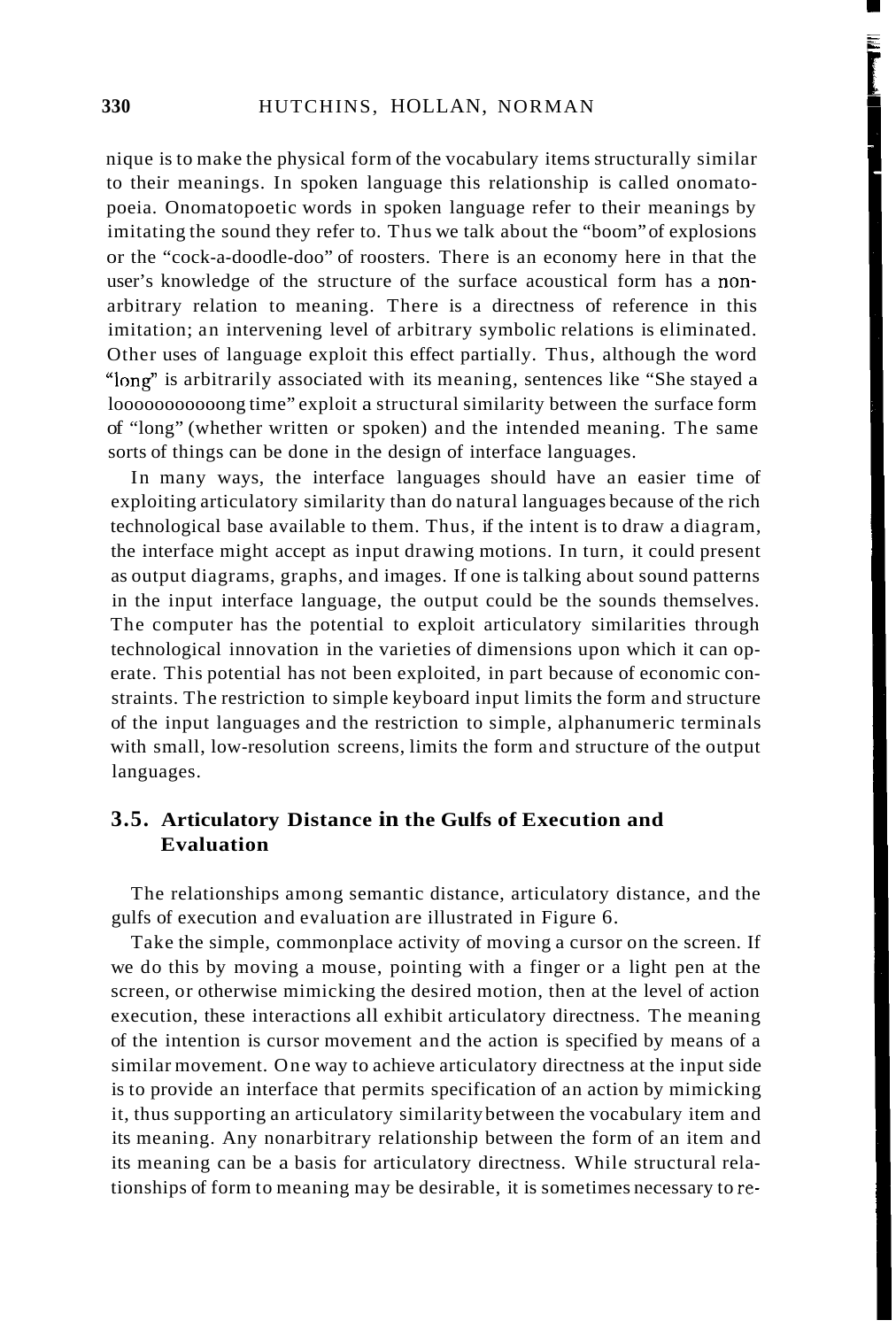nique is to make the physical form of the vocabulary items structurally similar to their meanings. In spoken language this relationship is called onomatopoeia. Onomatopoetic words in spoken language refer to their meanings by imitating the sound they refer to. Thus we talk about the "boom" of explosions or the "cock-a-doodle-doo" of roosters. There is an economy here in that the user's knowledge of the structure of the surface acoustical form has a nonarbitrary relation to meaning. There is a directness of reference in this imitation; an intervening level of arbitrary symbolic relations is eliminated. Other uses of language exploit this effect partially. Thus, although the word "long" is arbitrarily associated with its meaning, sentences like "She stayed a looooooooooong time" exploit a structural similarity between the surface form of "long" (whether written or spoken) and the intended meaning. The same sorts of things can be done in the design of interface languages.

In many ways, the interface languages should have an easier time of exploiting articulatory similarity than do natural languages because of the rich technological base available to them. Thus, if the intent is to draw a diagram, the interface might accept as input drawing motions. In turn, it could present as output diagrams, graphs, and images. If one is talking about sound patterns in the input interface language, the output could be the sounds themselves. The computer has the potential to exploit articulatory similarities through technological innovation in the varieties of dimensions upon which it can operate. This potential has not been exploited, in part because of economic constraints. The restriction to simple keyboard input limits the form and structure of the input languages and the restriction to simple, alphanumeric terminals with small, low-resolution screens, limits the form and structure of the output languages.

# **3.5. Articulatory Distance in the Gulfs of Execution and Evaluation**

The relationships among semantic distance, articulatory distance, and the gulfs of execution and evaluation are illustrated in Figure 6.

Take the simple, commonplace activity of moving a cursor on the screen. If we do this by moving a mouse, pointing with a finger or a light pen at the screen, or otherwise mimicking the desired motion, then at the level of action execution, these interactions all exhibit articulatory directness. The meaning of the intention is cursor movement and the action is specified by means of a similar movement. One way to achieve articulatory directness at the input side is to provide an interface that permits specification of an action by mimicking it, thus supporting an articulatory similarity between the vocabulary item and its meaning. Any nonarbitrary relationship between the form of an item and its meaning can be a basis for articulatory directness. While structural relationships of form to meaning may be desirable, it is sometimes necessary to re-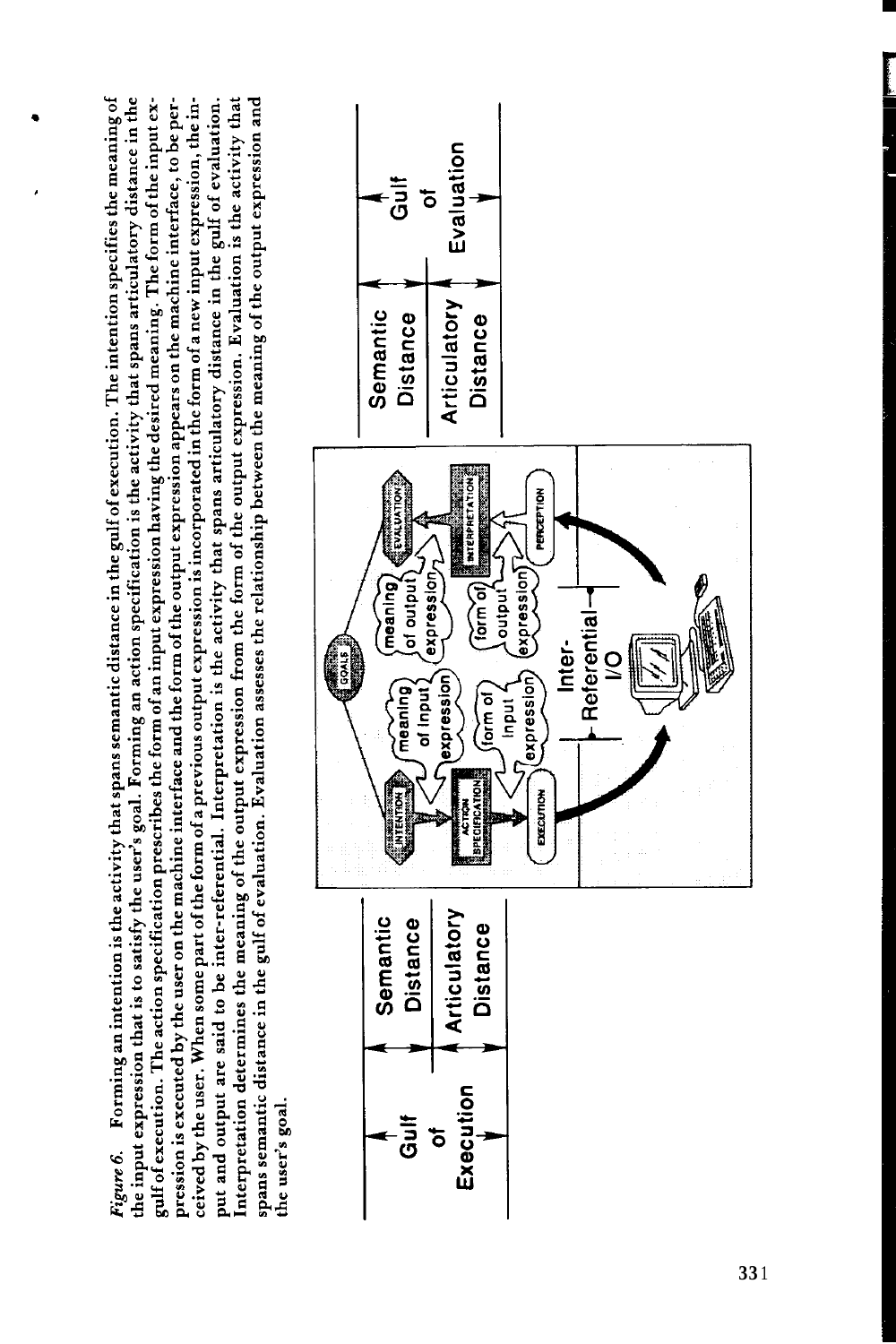the input expression that is to satisfy the user's goal. Forming an action specification is the activity that spans articulatory distance in the per and write the meaning of the output expression from the form of the output expression. Evaluation is the activity that<br>Interpretation determines the meaning of the output expression from the form of the output expressi spans semantic distance in the gulf of evaluation. Evaluation assesses the relationship between the meaning of the output expression and Figure 6. Forming an intention is the activity that spans semantic distance in the gulf of execution. The intention specifies the meaning of gulf of execution. The action specification prescribes the form of an input expression having the desired meaning. The form of the input expression is executed by the user on the machine interface and the form of the output expression appears on the machine interface, to be perput and output are said to be inter-referential. Interpretation is the activity that spans articulatory distance in the gulf of evaluation. the user's goal

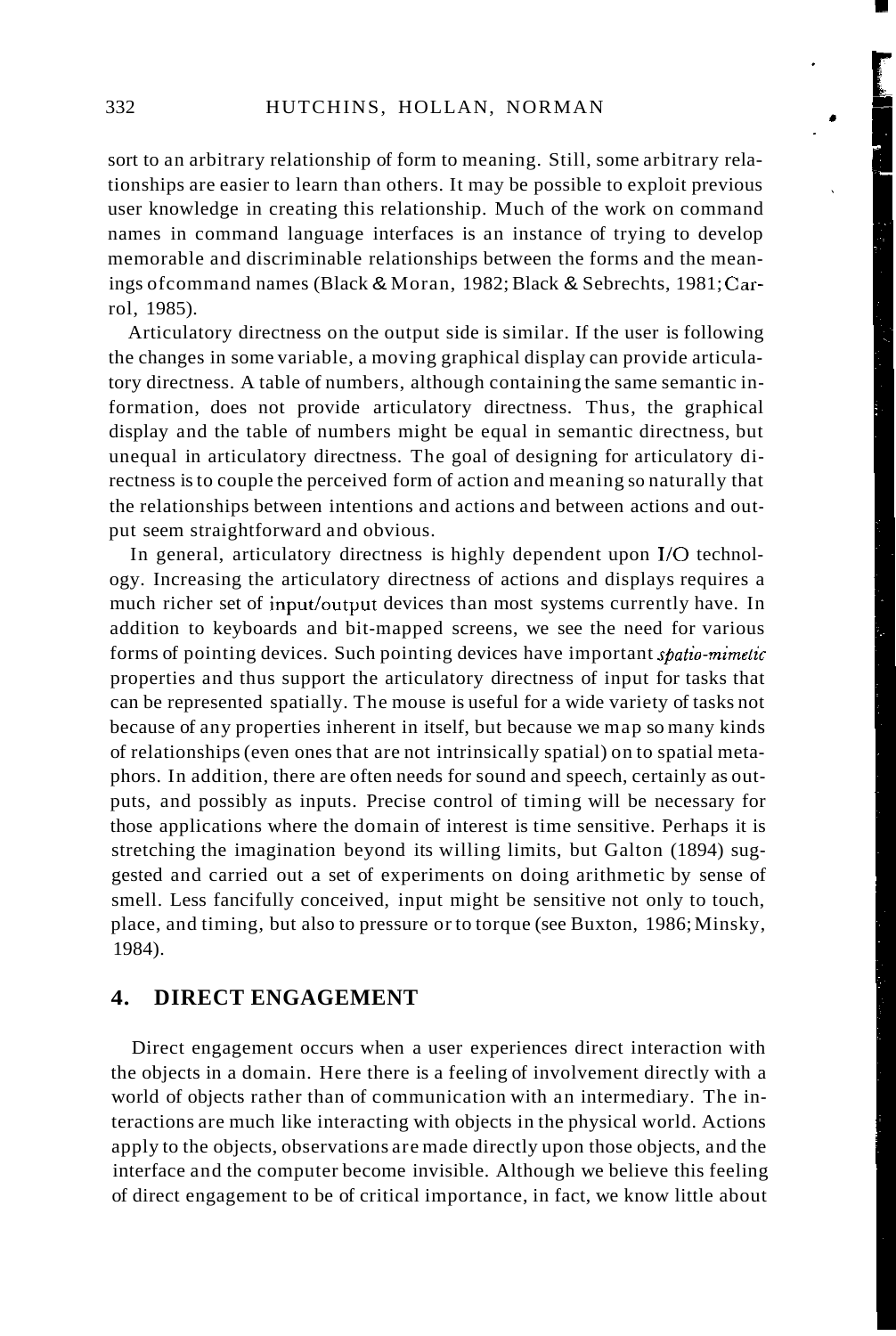sort to an arbitrary relationship of form to meaning. Still, some arbitrary relationships are easier to learn than others. It may be possible to exploit previous user knowledge in creating this relationship. Much of the work on command names in command language interfaces is an instance of trying to develop memorable and discriminable relationships between the forms and the meanings ofcommand names (Black & Moran, 1982; Black & Sebrechts, 1981; Carrol, 1985).

Articulatory directness on the output side is similar. If the user is following the changes in some variable, a moving graphical display can provide articulatory directness. A table of numbers, although containing the same semantic information, does not provide articulatory directness. Thus, the graphical display and the table of numbers might be equal in semantic directness, but unequal in articulatory directness. The goal of designing for articulatory directness is to couple the perceived form of action and meaning so naturally that the relationships between intentions and actions and between actions and output seem straightforward and obvious.

In general, articulatory directness is highly dependent upon I/O technology. Increasing the articulatory directness of actions and displays requires a much richer set of input/output devices than most systems currently have. In addition to keyboards and bit-mapped screens, we see the need for various forms of pointing devices. Such pointing devices have important *spatio-mimetic*  properties and thus support the articulatory directness of input for tasks that can be represented spatially. The mouse is useful for a wide variety of tasks not because of any properties inherent in itself, but because we map so many kinds of relationships (even ones that are not intrinsically spatial) on to spatial metaphors. In addition, there are often needs for sound and speech, certainly as outputs, and possibly as inputs. Precise control of timing will be necessary for those applications where the domain of interest is time sensitive. Perhaps it is stretching the imagination beyond its willing limits, but Galton (1894) suggested and carried out a set of experiments on doing arithmetic by sense of smell. Less fancifully conceived, input might be sensitive not only to touch, place, and timing, but also to pressure or to torque (see Buxton, 1986; Minsky, 1984).

# **4. DIRECT ENGAGEMENT**

Direct engagement occurs when a user experiences direct interaction with the objects in a domain. Here there is a feeling of involvement directly with a world of objects rather than of communication with an intermediary. The interactions are much like interacting with objects in the physical world. Actions apply to the objects, observations are made directly upon those objects, and the interface and the computer become invisible. Although we believe this feeling of direct engagement to be of critical importance, in fact, we know little about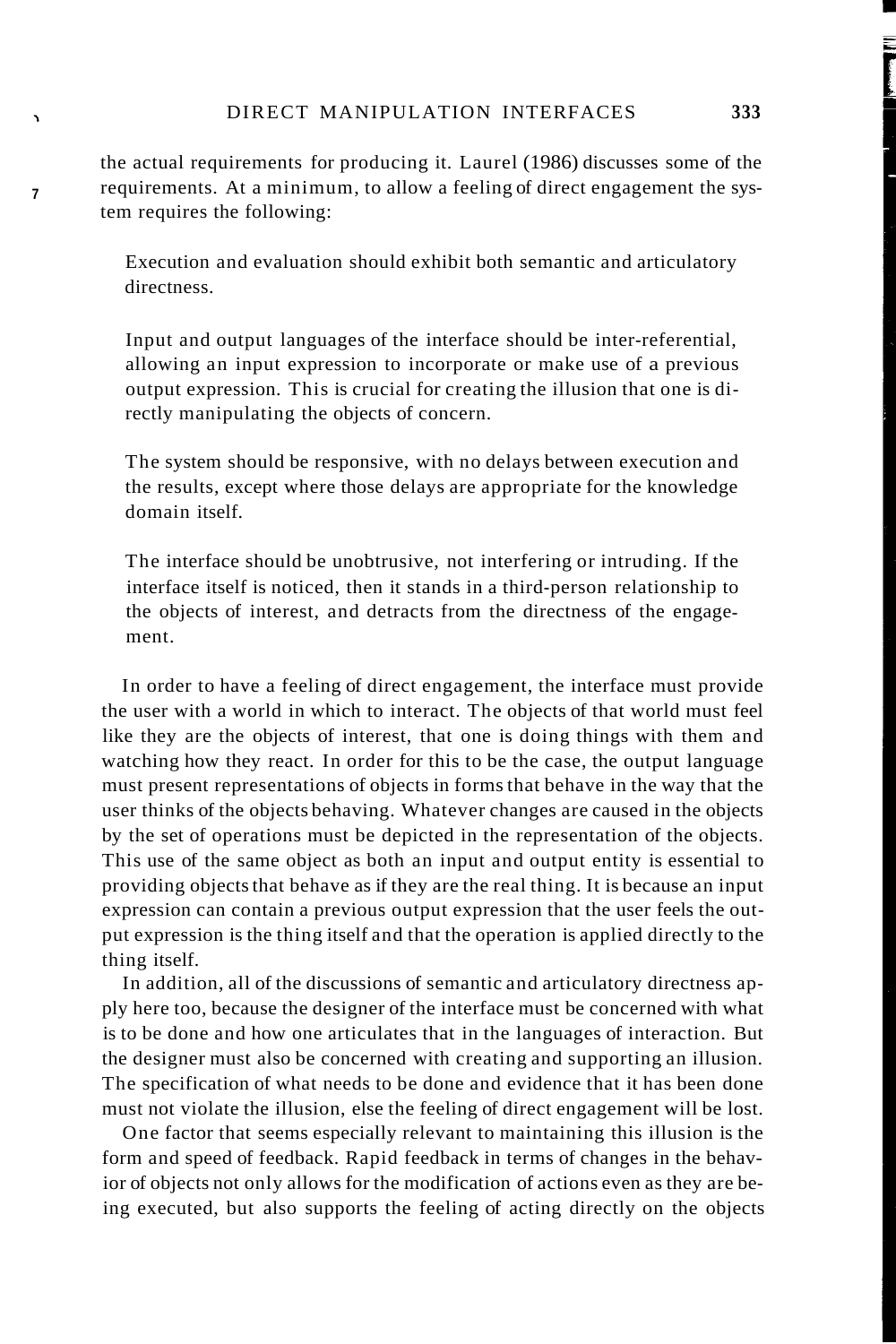the actual requirements for producing it. Laurel (1986) discusses some of the requirements. At a minimum, to allow a feeling of direct engagement the system requires the following:

**7** 

Ń

Execution and evaluation should exhibit both semantic and articulatory directness.

Input and output languages of the interface should be inter-referential, allowing an input expression to incorporate or make use of a previous output expression. This is crucial for creating the illusion that one is directly manipulating the objects of concern.

The system should be responsive, with no delays between execution and the results, except where those delays are appropriate for the knowledge domain itself.

The interface should be unobtrusive, not interfering or intruding. If the interface itself is noticed, then it stands in a third-person relationship to the objects of interest, and detracts from the directness of the engagement.

In order to have a feeling of direct engagement, the interface must provide the user with a world in which to interact. The objects of that world must feel like they are the objects of interest, that one is doing things with them and watching how they react. In order for this to be the case, the output language must present representations of objects in forms that behave in the way that the user thinks of the objects behaving. Whatever changes are caused in the objects by the set of operations must be depicted in the representation of the objects. This use of the same object as both an input and output entity is essential to providing objects that behave as if they are the real thing. It is because an input expression can contain a previous output expression that the user feels the output expression is the thing itself and that the operation is applied directly to the thing itself.

In addition, all of the discussions of semantic and articulatory directness apply here too, because the designer of the interface must be concerned with what is to be done and how one articulates that in the languages of interaction. But the designer must also be concerned with creating and supporting an illusion. The specification of what needs to be done and evidence that it has been done must not violate the illusion, else the feeling of direct engagement will be lost.

One factor that seems especially relevant to maintaining this illusion is the form and speed of feedback. Rapid feedback in terms of changes in the behavior of objects not only allows for the modification of actions even as they are being executed, but also supports the feeling of acting directly on the objects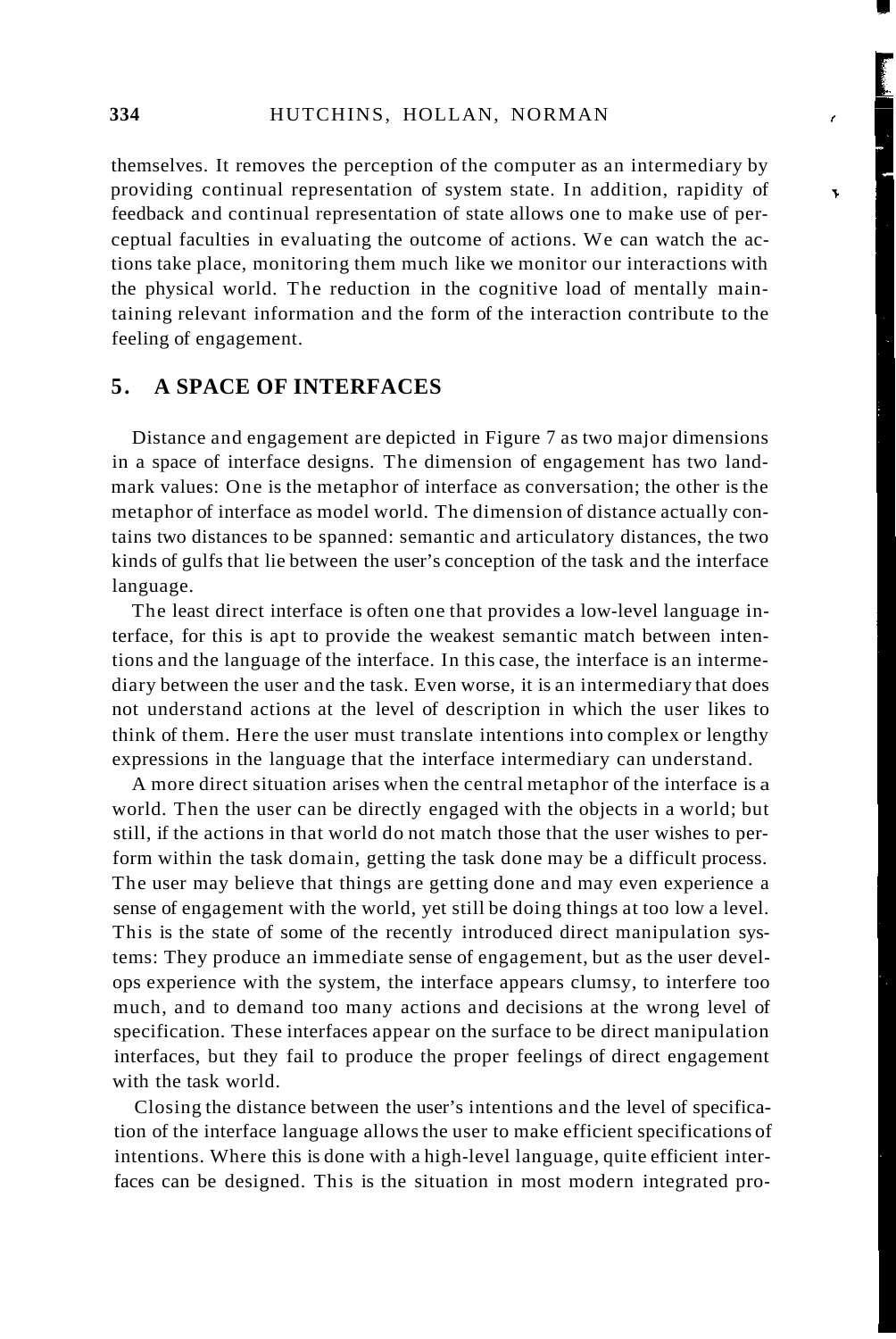themselves. It removes the perception of the computer as an intermediary by providing continual representation of system state. In addition, rapidity of feedback and continual representation of state allows one to make use of perceptual faculties in evaluating the outcome of actions. We can watch the actions take place, monitoring them much like we monitor our interactions with the physical world. The reduction in the cognitive load of mentally maintaining relevant information and the form of the interaction contribute to the feeling of engagement.

# **5. A SPACE OF INTERFACES**

Distance and engagement are depicted in Figure 7 as two major dimensions in a space of interface designs. The dimension of engagement has two landmark values: One is the metaphor of interface as conversation; the other is the metaphor of interface as model world. The dimension of distance actually contains two distances to be spanned: semantic and articulatory distances, the two kinds of gulfs that lie between the user's conception of the task and the interface language.

The least direct interface is often one that provides a low-level language interface, for this is apt to provide the weakest semantic match between intentions and the language of the interface. In this case, the interface is an intermediary between the user and the task. Even worse, it is an intermediary that does not understand actions at the level of description in which the user likes to think of them. Here the user must translate intentions into complex or lengthy expressions in the language that the interface intermediary can understand.

A more direct situation arises when the central metaphor of the interface is a world. Then the user can be directly engaged with the objects in a world; but still, if the actions in that world do not match those that the user wishes to perform within the task domain, getting the task done may be a difficult process. The user may believe that things are getting done and may even experience a sense of engagement with the world, yet still be doing things at too low a level. This is the state of some of the recently introduced direct manipulation systems: They produce an immediate sense of engagement, but as the user develops experience with the system, the interface appears clumsy, to interfere too much, and to demand too many actions and decisions at the wrong level of specification. These interfaces appear on the surface to be direct manipulation interfaces, but they fail to produce the proper feelings of direct engagement with the task world.

Closing the distance between the user's intentions and the level of specification of the interface language allows the user to make efficient specifications of intentions. Where this is done with a high-level language, quite efficient interfaces can be designed. This is the situation in most modern integrated pro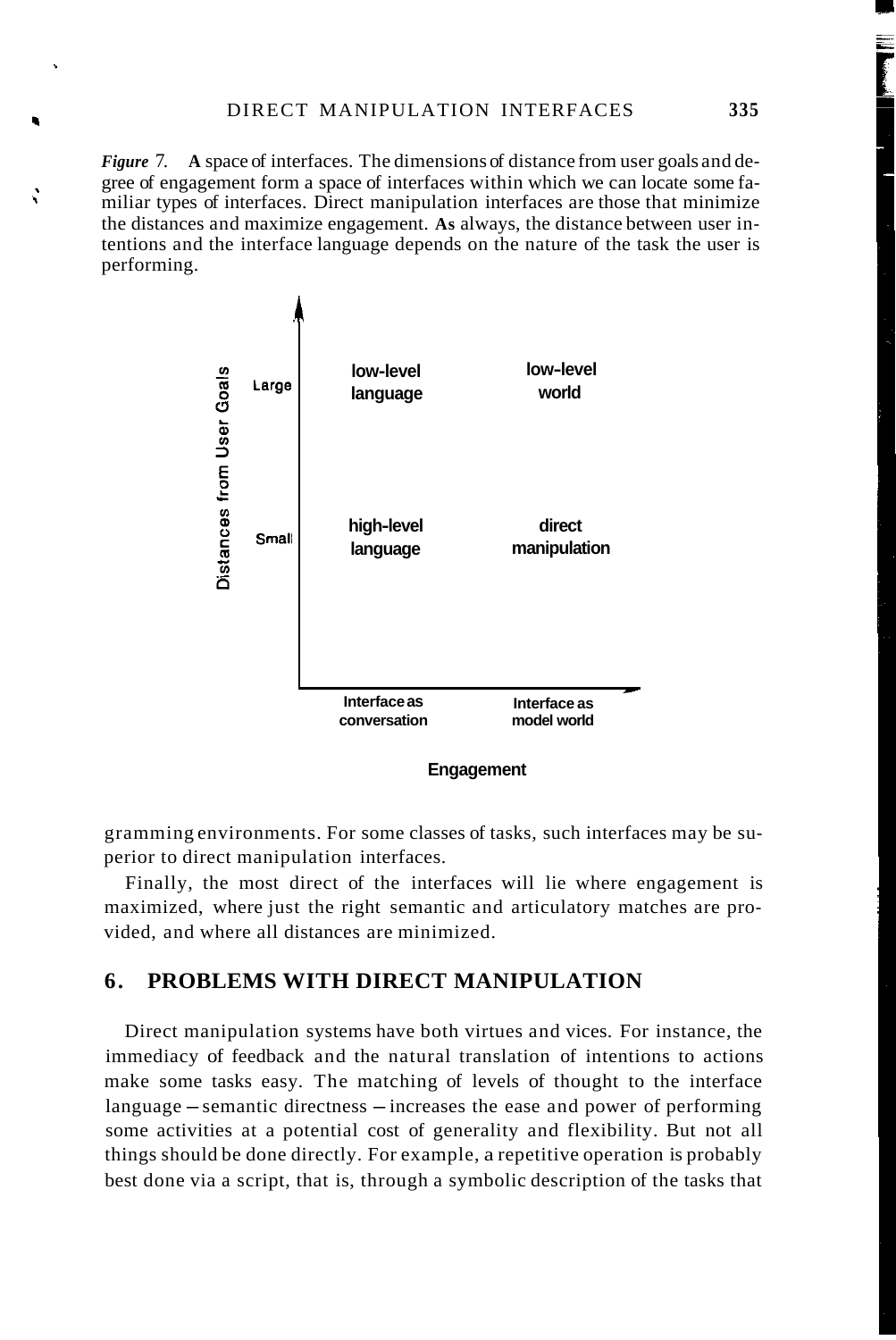*Figure* 7. **A** space of interfaces. The dimensions of distance from user goals and degree of engagement form a space of interfaces within which we can locate some familiar types of interfaces. Direct manipulation interfaces are those that minimize the distances and maximize engagement. **As** always, the distance between user intentions and the interface language depends on the nature of the task the user is performing.



**Engagement** 

gramming environments. For some classes of tasks, such interfaces may be superior to direct manipulation interfaces.

Finally, the most direct of the interfaces will lie where engagement is maximized, where just the right semantic and articulatory matches are provided, and where all distances are minimized.

# **6. PROBLEMS WITH DIRECT MANIPULATION**

Direct manipulation systems have both virtues and vices. For instance, the immediacy of feedback and the natural translation of intentions to actions make some tasks easy. The matching of levels of thought to the interface language - semantic directness - increases the ease and power of performing some activities at a potential cost of generality and flexibility. But not all things should be done directly. For example, a repetitive operation is probably best done via a script, that is, through a symbolic description of the tasks that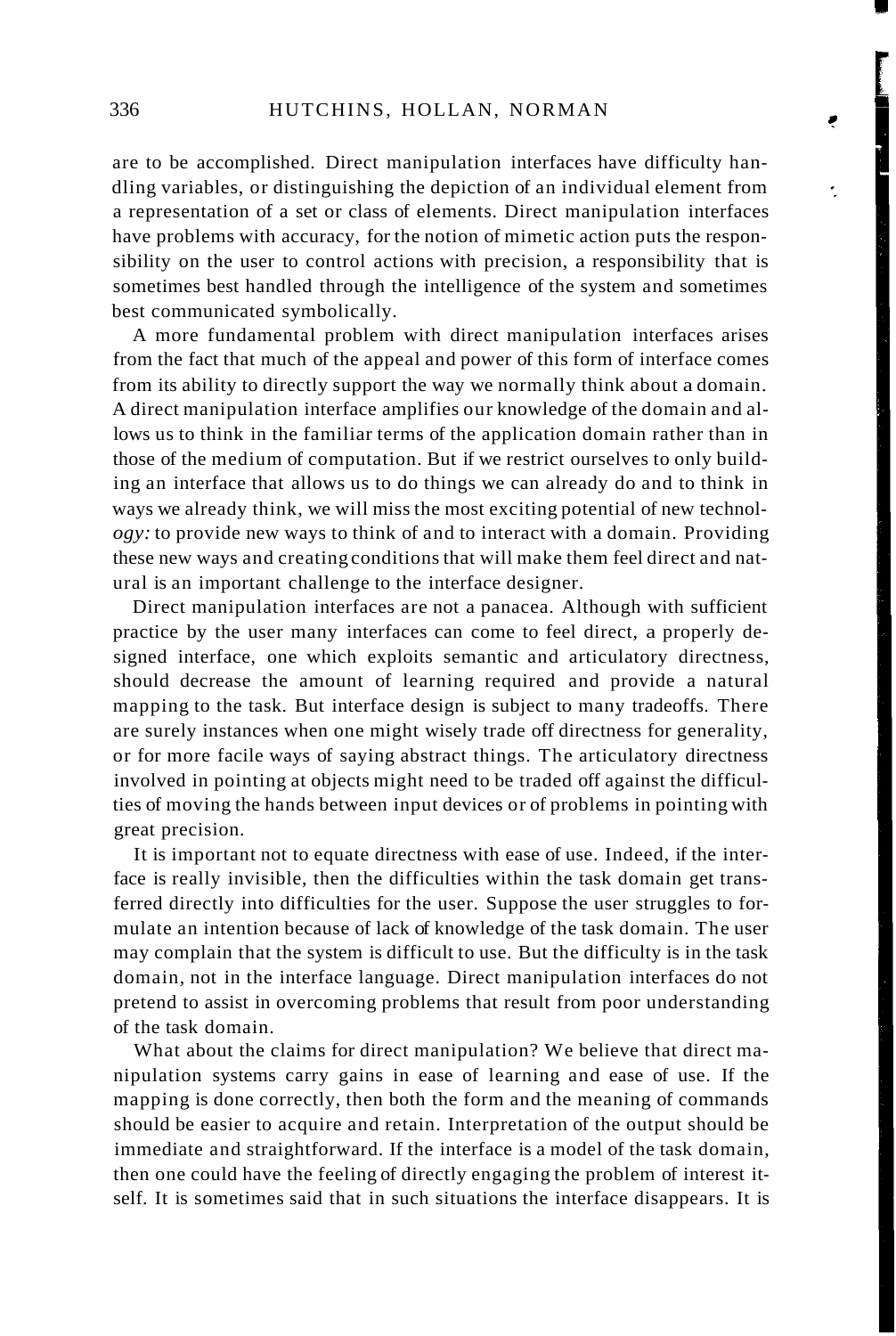are to be accomplished. Direct manipulation interfaces have difficulty handling variables, or distinguishing the depiction of an individual element from a representation of a set or class of elements. Direct manipulation interfaces have problems with accuracy, for the notion of mimetic action puts the responsibility on the user to control actions with precision, a responsibility that is sometimes best handled through the intelligence of the system and sometimes best communicated symbolically.

A more fundamental problem with direct manipulation interfaces arises from the fact that much of the appeal and power of this form of interface comes from its ability to directly support the way we normally think about a domain. A direct manipulation interface amplifies our knowledge of the domain and allows us to think in the familiar terms of the application domain rather than in those of the medium of computation. But if we restrict ourselves to only building an interface that allows us to do things we can already do and to think in ways we already think, we will miss the most exciting potential of new technol*ogy:* to provide new ways to think of and to interact with a domain. Providing these new ways and creating conditions that will make them feel direct and natural is an important challenge to the interface designer.

Direct manipulation interfaces are not a panacea. Although with sufficient practice by the user many interfaces can come to feel direct, a properly designed interface, one which exploits semantic and articulatory directness, should decrease the amount of learning required and provide a natural mapping to the task. But interface design is subject to many tradeoffs. There are surely instances when one might wisely trade off directness for generality, or for more facile ways of saying abstract things. The articulatory directness involved in pointing at objects might need to be traded off against the difficulties of moving the hands between input devices or of problems in pointing with great precision.

It is important not to equate directness with ease of use. Indeed, if the interface is really invisible, then the difficulties within the task domain get transferred directly into difficulties for the user. Suppose the user struggles to formulate an intention because of lack of knowledge of the task domain. The user may complain that the system is difficult to use. But the difficulty is in the task domain, not in the interface language. Direct manipulation interfaces do not pretend to assist in overcoming problems that result from poor understanding of the task domain.

What about the claims for direct manipulation? We believe that direct manipulation systems carry gains in ease of learning and ease of use. If the mapping is done correctly, then both the form and the meaning of commands should be easier to acquire and retain. Interpretation of the output should be immediate and straightforward. If the interface is a model of the task domain, then one could have the feeling of directly engaging the problem of interest itself. It is sometimes said that in such situations the interface disappears. It is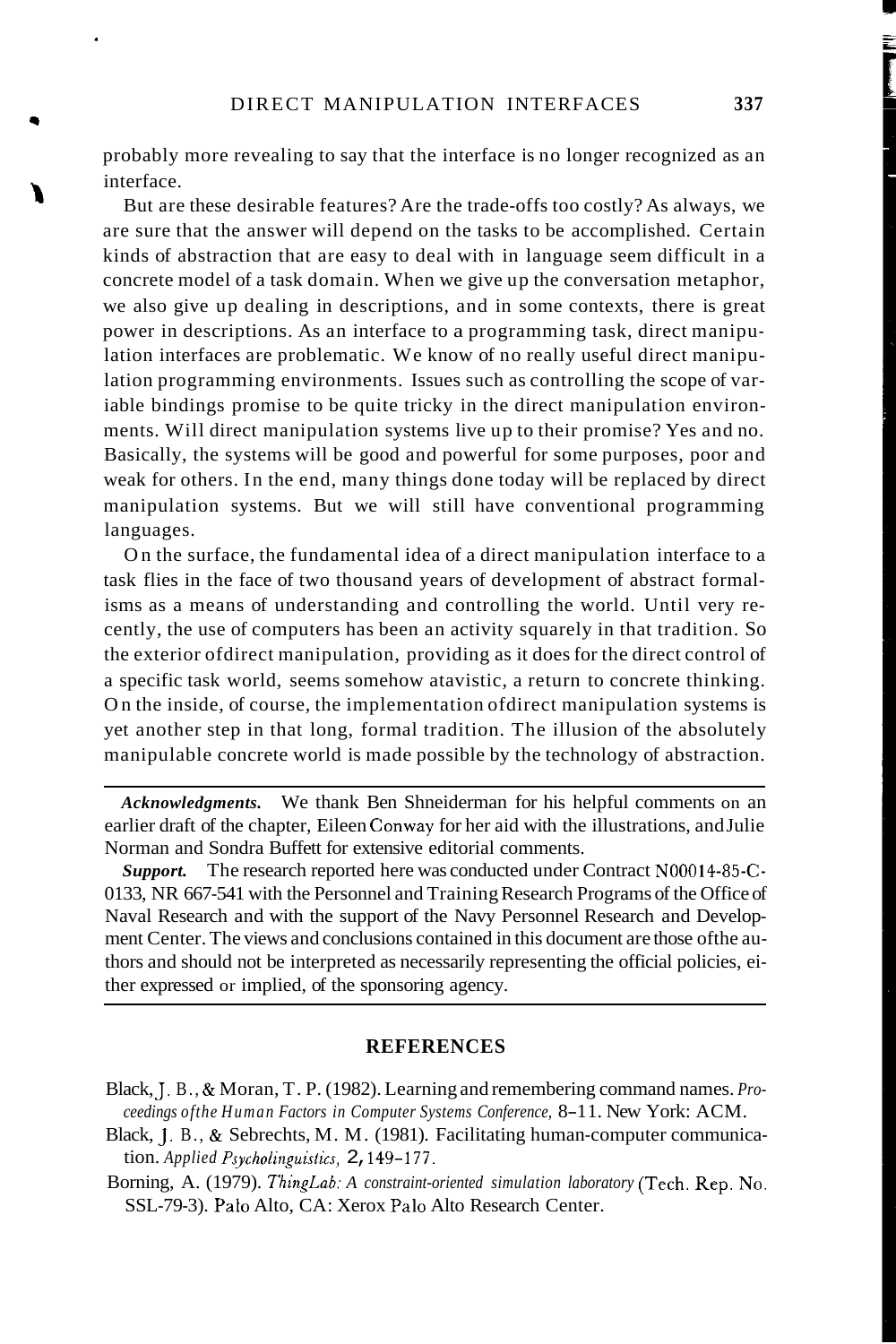probably more revealing to say that the interface is no longer recognized as an interface.

But are these desirable features? Are the trade-offs too costly? As always, we are sure that the answer will depend on the tasks to be accomplished. Certain kinds of abstraction that are easy to deal with in language seem difficult in a concrete model of a task domain. When we give up the conversation metaphor, we also give up dealing in descriptions, and in some contexts, there is great power in descriptions. As an interface to a programming task, direct manipulation interfaces are problematic. We know of no really useful direct manipulation programming environments. Issues such as controlling the scope of variable bindings promise to be quite tricky in the direct manipulation environments. Will direct manipulation systems live up to their promise? Yes and no. Basically, the systems will be good and powerful for some purposes, poor and weak for others. In the end, many things done today will be replaced by direct manipulation systems. But we will still have conventional programming languages.

On the surface, the fundamental idea of a direct manipulation interface to a task flies in the face of two thousand years of development of abstract formalisms as a means of understanding and controlling the world. Until very recently, the use of computers has been an activity squarely in that tradition. So the exterior ofdirect manipulation, providing as it does for the direct control of a specific task world, seems somehow atavistic, a return to concrete thinking. On the inside, of course, the implementation ofdirect manipulation systems is yet another step in that long, formal tradition. The illusion of the absolutely manipulable concrete world is made possible by the technology of abstraction.

*Acknowledgments.* We thank Ben Shneiderman for his helpful comments on an earlier draft of the chapter, Eileen Conway for her aid with the illustrations, and Julie Norman and Sondra Buffett for extensive editorial comments.

*Support.* The research reported here was conducted under Contract NOOOl4-85-C-0133, NR 667-541 with the Personnel and Training Research Programs of the Office of Naval Research and with the support of the Navy Personnel Research and Development Center. The views and conclusions contained in this document are those ofthe authors and should not be interpreted as necessarily representing the official policies, either expressed or implied, of the sponsoring agency.

# **REFERENCES**

- Black, J. B., & Moran, T. P. (1982). Learning and remembering command names. *Proceedings ofthe Human Factors in Computer Systems Conference,* 8-1 1. New York: ACM.
- Black, J. B., & Sebrechts, M. M. (1981). Facilitating human-computer communication. *Applied Psycholinguistics,* 2, 149-177.
- Borning, A. (1979). *ThingLab: A constraint-oriented simulation laboratory* (Tech. Rep. No. SSL-79-3). Palo Alto, CA: Xerox Palo Alto Research Center.